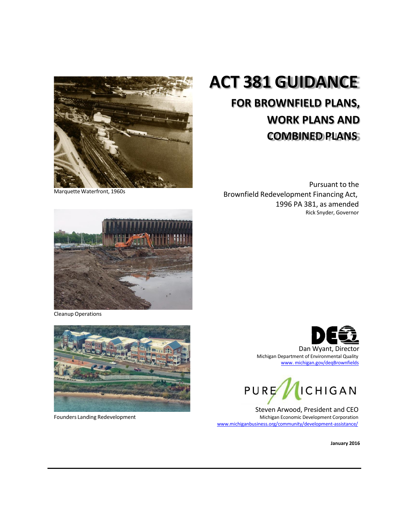

# **ACT 381 GUIDANCE**

## **FOR BROWNFIELD PLANS, WORK PLANS AND COMBINED PLANS**

Marquette Waterfront, 1960s

Pursuant to the Brownfield Redevelopment Financing Act, 1996 PA 381, as amended Rick Snyder, Governor



Cleanup Operations



Founders Landing Redevelopment





Steven Arwood, President and CEO Michigan Economic Development Corporation [www.michiganbusiness.org/community/development-assistance/](http://www.michiganadvantage.org/Brownfield-Redevelopment/)

**January 2016**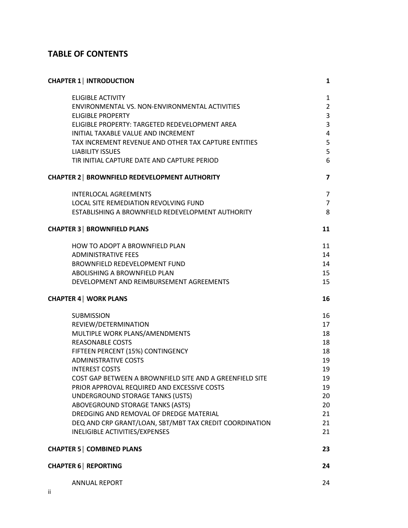### **TABLE OF CONTENTS**

| <b>CHAPTER 1   INTRODUCTION</b>                          | 1                       |
|----------------------------------------------------------|-------------------------|
| <b>ELIGIBLE ACTIVITY</b>                                 | $\mathbf{1}$            |
| ENVIRONMENTAL VS. NON-ENVIRONMENTAL ACTIVITIES           | $\overline{2}$          |
| <b>ELIGIBLE PROPERTY</b>                                 | 3                       |
| ELIGIBLE PROPERTY: TARGETED REDEVELOPMENT AREA           | 3                       |
| INITIAL TAXABLE VALUE AND INCREMENT                      | 4                       |
| TAX INCREMENT REVENUE AND OTHER TAX CAPTURE ENTITIES     | 5                       |
| <b>LIABILITY ISSUES</b>                                  | 5                       |
| TIR INITIAL CAPTURE DATE AND CAPTURE PERIOD              | 6                       |
| <b>CHAPTER 2   BROWNFIELD REDEVELOPMENT AUTHORITY</b>    | $\overline{\mathbf{z}}$ |
| <b>INTERLOCAL AGREEMENTS</b>                             | 7                       |
| LOCAL SITE REMEDIATION REVOLVING FUND                    | $\overline{7}$          |
| ESTABLISHING A BROWNFIELD REDEVELOPMENT AUTHORITY        | 8                       |
| <b>CHAPTER 3   BROWNFIELD PLANS</b>                      | 11                      |
| <b>HOW TO ADOPT A BROWNFIELD PLAN</b>                    | 11                      |
| <b>ADMINISTRATIVE FEES</b>                               | 14                      |
| <b>BROWNFIELD REDEVELOPMENT FUND</b>                     | 14                      |
| ABOLISHING A BROWNFIELD PLAN                             | 15                      |
| DEVELOPMENT AND REIMBURSEMENT AGREEMENTS                 | 15                      |
|                                                          |                         |
| <b>CHAPTER 4   WORK PLANS</b>                            | 16                      |
| <b>SUBMISSION</b>                                        | 16                      |
| REVIEW/DETERMINATION                                     | 17                      |
| MULTIPLE WORK PLANS/AMENDMENTS                           | 18                      |
| <b>REASONABLE COSTS</b>                                  | 18                      |
| FIFTEEN PERCENT (15%) CONTINGENCY                        | 18                      |
| <b>ADMINISTRATIVE COSTS</b>                              | 19                      |
| <b>INTEREST COSTS</b>                                    | 19                      |
| COST GAP BETWEEN A BROWNFIELD SITE AND A GREENFIELD SITE | 19                      |
| PRIOR APPROVAL REQUIRED AND EXCESSIVE COSTS              | 19                      |
| UNDERGROUND STORAGE TANKS (USTS)                         | 20                      |
| ABOVEGROUND STORAGE TANKS (ASTS)                         | 20                      |
| DREDGING AND REMOVAL OF DREDGE MATERIAL                  | 21                      |
| DEQ AND CRP GRANT/LOAN, SBT/MBT TAX CREDIT COORDINATION  | 21                      |
| INELIGIBLE ACTIVITIES/EXPENSES                           | 21                      |
| <b>CHAPTER 5   COMBINED PLANS</b>                        | 23                      |
| <b>CHAPTER 6   REPORTING</b>                             | 24                      |
| <b>ANNUAL REPORT</b>                                     | 24                      |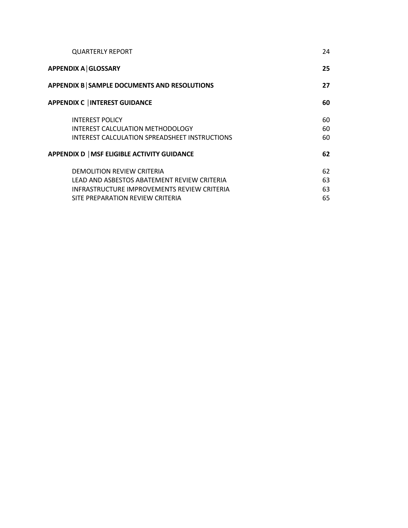| <b>QUARTERLY REPORT</b>                            | 24 |
|----------------------------------------------------|----|
| <b>APPENDIX A GLOSSARY</b>                         | 25 |
| APPENDIX B SAMPLE DOCUMENTS AND RESOLUTIONS        | 27 |
| <b>APPENDIX C   INTEREST GUIDANCE</b>              | 60 |
| <b>INTEREST POLICY</b>                             | 60 |
| INTEREST CALCULATION METHODOLOGY                   | 60 |
| INTEREST CALCULATION SPREADSHEET INSTRUCTIONS      | 60 |
| APPENDIX D   MSF ELIGIBLE ACTIVITY GUIDANCE        | 62 |
| <b>DEMOLITION REVIEW CRITERIA</b>                  | 62 |
| LEAD AND ASBESTOS ABATEMENT REVIEW CRITERIA        | 63 |
| <b>INFRASTRUCTURE IMPROVEMENTS REVIEW CRITERIA</b> | 63 |
| SITE PREPARATION REVIEW CRITERIA                   | 65 |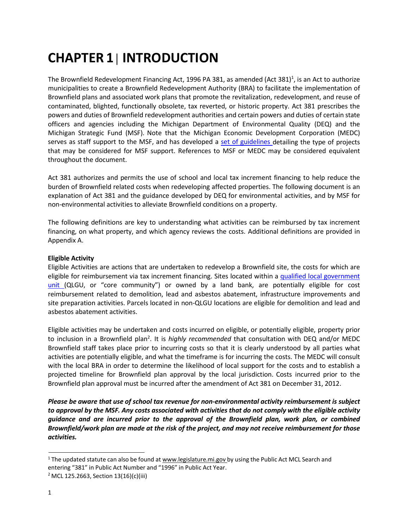# <span id="page-3-0"></span>**CHAPTER 1│ INTRODUCTION**

The Brownfield [Redevelopment](http://www.legislature.mi.gov/(S(alk3egbibvavomugo3vkc1qz))/mileg.aspx?page=getobject&objectname=mcl-Act-381-of-1996&query=on) Financing Act, 1996 PA 381, as amended (Act 381)<sup>1</sup>, is an Act to authorize municipalities to create a Brownfield Redevelopment Authority (BRA) to facilitate the implementation of Brownfield plans and associated work plans that promote the revitalization, redevelopment, and reuse of contaminated, blighted, functionally obsolete, tax reverted, or historic property. Act 381 prescribes the powers and duties of Brownfield redevelopment authorities and certain powers and duties of certain state officers and agencies including the Michigan Department of Environmental Quality (DEQ) and the Michigan Strategic Fund (MSF). Note that the Michigan Economic Development Corporation (MEDC) serves as staff support to the MSF, and has developed a set of [guidelines](http://www.michiganbusiness.org/cm/Files/Community_Development/2015-Community-Incentive-Guidance.pdf) detailing the type of projects that may be considered for MSF support. References to MSF or MEDC may be considered equivalent throughout the document.

Act 381 authorizes and permits the use of school and local tax increment financing to help reduce the burden of Brownfield related costs when redeveloping affected properties. The following document is an explanation of Act 381 and the guidance developed by DEQ for environmental activities, and by MSF for non-environmental activities to alleviate Brownfield conditions on a property.

The following definitions are key to understanding what activities can be reimbursed by tax increment financing, on what property, and which agency reviews the costs. Additional definitions are provided in Appendix A.

#### <span id="page-3-1"></span>**Eligible Activity**

Eligible Activities are actions that are undertaken to redevelop a Brownfield site, the costs for which are eligible for reimbursement via tax increment financing. Sites located within a [qualified local](http://www.michiganadvantage.org/cm/files/Fact-Sheets/Core_communities.pdf) government [unit](http://www.michiganadvantage.org/cm/files/Fact-Sheets/Core_communities.pdf) (QLGU, or "core community") or owned by a land bank, are potentially eligible for cost reimbursement related to demolition, lead and asbestos abatement, infrastructure improvements and site preparation activities. Parcels located in non-QLGU locations are eligible for demolition and lead and asbestos abatement activities.

Eligible activities may be undertaken and costs incurred on eligible, or potentially eligible, property prior to inclusion in a Brownfield plan<sup>2</sup>. It is *highly recommended* that consultation with DEQ and/or MEDC Brownfield staff takes place prior to incurring costs so that it is clearly understood by all parties what activities are potentially eligible, and what the timeframe is for incurring the costs. The MEDC will consult with the local BRA in order to determine the likelihood of local support for the costs and to establish a projected timeline for Brownfield plan approval by the local jurisdiction. Costs incurred prior to the Brownfield plan approval must be incurred after the amendment of Act 381 on December 31, 2012.

*Please be aware that use of school tax revenue for non-environmental activity reimbursement is subject* to approval by the MSF. Any costs associated with activities that do not comply with the eligible activity *guidance and are incurred prior to the approval of the Brownfield plan, work plan, or combined Brownfield/work plan are made at the risk of the project, and may not receive reimbursement for those activities.*

<sup>&</sup>lt;sup>1</sup> The updated statute can also be found at [www.legislature.mi.gov](http://www.legislature.mi.gov/) by using the Public Act MCL Search and entering "381" in Public Act Number and "1996" in Public Act Year.

<sup>2</sup> MCL 125.2663, Section 13(16)(c)(iii)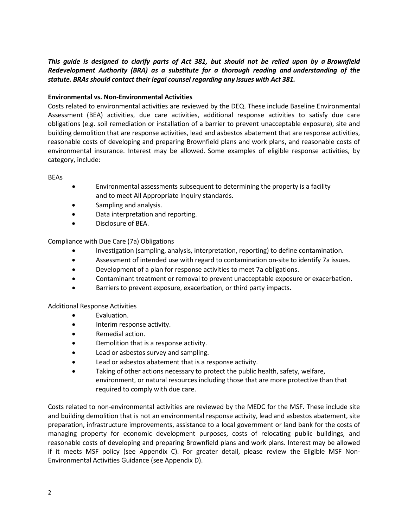#### This guide is designed to clarify parts of Act 381, but should not be relied upon by a Brownfield *Redevelopment Authority (BRA) as a substitute for a thorough reading and understanding of the statute. BRAs should contact their legal counsel regarding any issues with Act 381.*

#### <span id="page-4-0"></span>**Environmental vs. Non-Environmental Activities**

Costs related to environmental activities are reviewed by the DEQ. These include Baseline Environmental Assessment (BEA) activities, due care activities, additional response activities to satisfy due care obligations (e.g. soil remediation or installation of a barrier to prevent unacceptable exposure), site and building demolition that are response activities, lead and asbestos abatement that are response activities, reasonable costs of developing and preparing Brownfield plans and work plans, and reasonable costs of environmental insurance. Interest may be allowed. Some examples of eligible response activities, by category, include:

#### BEAs

- Environmental assessments subsequent to determining the property is a facility and to meet All Appropriate Inquiry standards.
- Sampling and analysis.
- Data interpretation and reporting.
- Disclosure of BEA.

Compliance with Due Care (7a) Obligations

- Investigation (sampling, analysis, interpretation, reporting) to define contamination.
- Assessment of intended use with regard to contamination on-site to identify 7a issues.
- Development of a plan for response activities to meet 7a obligations.
- Contaminant treatment or removal to prevent unacceptable exposure or exacerbation.
- Barriers to prevent exposure, exacerbation, or third party impacts.

#### Additional Response Activities

- Evaluation.
- Interim response activity.
- Remedial action.
- Demolition that is a response activity.
- Lead or asbestos survey and sampling.
- Lead or asbestos abatement that is a response activity.
- Taking of other actions necessary to protect the public health, safety, welfare, environment, or natural resources including those that are more protective than that required to comply with due care.

Costs related to non-environmental activities are reviewed by the MEDC for the MSF. These include site and building demolition that is not an environmental response activity, lead and asbestos abatement, site preparation, infrastructure improvements, assistance to a local government or land bank for the costs of managing property for economic development purposes, costs of relocating public buildings, and reasonable costs of developing and preparing Brownfield plans and work plans. Interest may be allowed if it meets MSF policy (see Appendix C). For greater detail, please review the Eligible MSF Non-Environmental Activities Guidance (see Appendix D).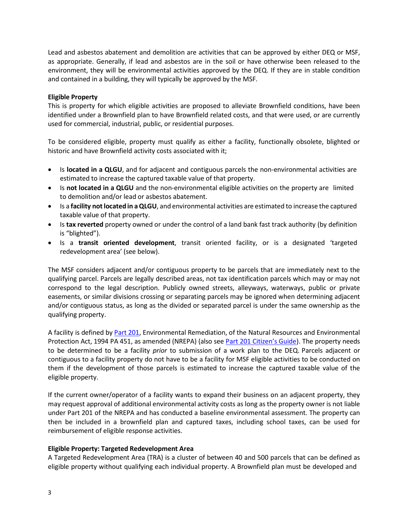Lead and asbestos abatement and demolition are activities that can be approved by either DEQ or MSF, as appropriate. Generally, if lead and asbestos are in the soil or have otherwise been released to the environment, they will be environmental activities approved by the DEQ. If they are in stable condition and contained in a building, they will typically be approved by the MSF.

#### <span id="page-5-0"></span>**Eligible Property**

This is property for which eligible activities are proposed to alleviate Brownfield conditions, have been identified under a Brownfield plan to have Brownfield related costs, and that were used, or are currently used for commercial, industrial, public, or residential purposes.

To be considered eligible, property must qualify as either a facility, functionally obsolete, blighted or historic and have Brownfield activity costs associated with it;

- Is **located in a QLGU**, and for adjacent and contiguous parcels the non-environmental activities are estimated to increase the captured taxable value of that property.
- Is **not located in a QLGU** and the non-environmental eligible activities on the property are limited to demolition and/or lead or asbestos abatement.
- Is a **facility notlocated in aQLGU**, and environmental activities are estimated to increase the captured taxable value of that property.
- Is **tax reverted** property owned or under the control of a land bank fast track authority (by definition is "blighted").
- Is a **transit oriented development**, transit oriented facility, or is a designated 'targeted redevelopment area' (see below).

The MSF considers adjacent and/or contiguous property to be parcels that are immediately next to the qualifying parcel. Parcels are legally described areas, not tax identification parcels which may or may not correspond to the legal description. Publicly owned streets, alleyways, waterways, public or private easements, or similar divisions crossing or separating parcels may be ignored when determining adjacent and/or contiguous status, as long as the divided or separated parcel is under the same ownership as the qualifying property.

A facility is defined by Part [201,](http://www.legislature.mi.gov/(S(usuj1r45kgaw4cvfth2uazy1))/mileg.aspx?page=getobject&objectname=mcl-451-1994-ii-7-201) Environmental Remediation, of the Natural Resources and Environmental Protection Act, 1994 PA 451, as amended (NREPA) (also see Part 201 [Citizen's](http://www.michigan.gov/documents/deq/deq-rrd-Part201CitizensGuide_247033_7.pdf) Guide). The property needs to be determined to be a facility *prior* to submission of a work plan to the DEQ. Parcels adjacent or contiguous to a facility property do not have to be a facility for MSF eligible activities to be conducted on them if the development of those parcels is estimated to increase the captured taxable value of the eligible property.

If the current owner/operator of a facility wants to expand their business on an adjacent property, they may request approval of additional environmental activity costs as long as the property owner is not liable under Part 201 of the NREPA and has conducted a baseline environmental assessment. The property can then be included in a brownfield plan and captured taxes, including school taxes, can be used for reimbursement of eligible response activities.

#### <span id="page-5-1"></span>**Eligible Property: Targeted Redevelopment Area**

A Targeted Redevelopment Area (TRA) is a cluster of between 40 and 500 parcels that can be defined as eligible property without qualifying each individual property. A Brownfield plan must be developed and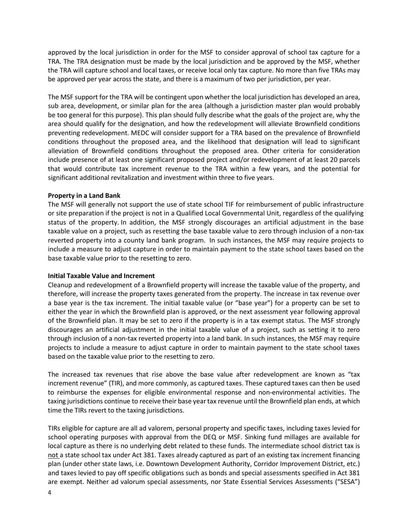approved by the local jurisdiction in order for the MSF to consider approval of school tax capture for a TRA. The TRA designation must be made by the local jurisdiction and be approved by the MSF, whether the TRA will capture school and local taxes, or receive local only tax capture. No more than five TRAs may be approved per year across the state, and there is a maximum of two per jurisdiction, per year.

The MSF support for the TRA will be contingent upon whether the local jurisdiction has developed an area, sub area, development, or similar plan for the area (although a jurisdiction master plan would probably be too general for this purpose). This plan should fully describe what the goals of the project are, why the area should qualify for the designation, and how the redevelopment will alleviate Brownfield conditions preventing redevelopment. MEDC will consider support for a TRA based on the prevalence of Brownfield conditions throughout the proposed area, and the likelihood that designation will lead to significant alleviation of Brownfield conditions throughout the proposed area. Other criteria for consideration include presence of at least one significant proposed project and/or redevelopment of at least 20 parcels that would contribute tax increment revenue to the TRA within a few years, and the potential for significant additional revitalization and investment within three to five years.

#### **Property in a Land Bank**

The MSF will generally not support the use of state school TIF for reimbursement of public infrastructure or site preparation if the project is not in a Qualified Local Governmental Unit, regardless of the qualifying status of the property. In addition, the MSF strongly discourages an artificial adjustment in the base taxable value on a project, such as resetting the base taxable value to zero through inclusion of a non-tax reverted property into a county land bank program. In such instances, the MSF may require projects to include a measure to adjust capture in order to maintain payment to the state school taxes based on the base taxable value prior to the resetting to zero.

#### <span id="page-6-0"></span>**Initial Taxable Value and Increment**

Cleanup and redevelopment of a Brownfield property will increase the taxable value of the property, and therefore, will increase the property taxes generated from the property. The increase in tax revenue over a base year is the tax increment. The initial taxable value (or "base year") for a property can be set to either the year in which the Brownfield plan is approved, or the next assessment year following approval of the Brownfield plan. It may be set to zero if the property is in a tax exempt status. The MSF strongly discourages an artificial adjustment in the initial taxable value of a project, such as setting it to zero through inclusion of a non-tax reverted property into a land bank. In such instances, the MSF may require projects to include a measure to adjust capture in order to maintain payment to the state school taxes based on the taxable value prior to the resetting to zero.

The increased tax revenues that rise above the base value after redevelopment are known as "tax increment revenue" (TIR), and more commonly, as captured taxes. These captured taxes can then be used to reimburse the expenses for eligible environmental response and non-environmental activities. The taxing jurisdictions continue to receive their base yeartax revenue until the Brownfield plan ends, at which time the TIRs revert to the taxing jurisdictions.

TIRs eligible for capture are all ad valorem, personal property and specific taxes, including taxes levied for school operating purposes with approval from the DEQ or MSF. Sinking fund millages are available for local capture as there is no underlying debt related to these funds. The intermediate school district tax is not a state school tax under Act 381. Taxes already captured as part of an existing tax increment financing plan (under other state laws, i.e. Downtown Development Authority, Corridor Improvement District, etc.) and taxes levied to pay off specific obligations such as bonds and special assessments specified in Act 381 are exempt. Neither ad valorum special assessments, nor State Essential Services Assessments ("SESA")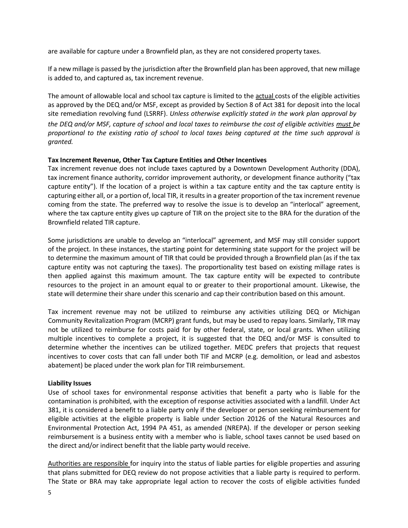are available for capture under a Brownfield plan, as they are not considered property taxes.

If a new millage is passed by the jurisdiction after the Brownfield plan has been approved, that new millage is added to, and captured as, tax increment revenue.

The amount of allowable local and school tax capture is limited to the actual costs of the eligible activities as approved by the DEQ and/or MSF, except as provided by Section 8 of Act 381 for deposit into the local site remediation revolving fund (LSRRF). *Unless otherwise explicitly stated in the work plan approval by* the DEQ and/or MSF, capture of school and local taxes to reimburse the cost of eligible activities must be proportional to the existing ratio of school to local taxes being captured at the time such approval is *granted.*

#### <span id="page-7-0"></span>**Tax Increment Revenue, Other Tax Capture Entities and Other Incentives**

Tax increment revenue does not include taxes captured by a Downtown Development Authority (DDA), tax increment finance authority, corridor improvement authority, or development finance authority ("tax capture entity"). If the location of a project is within a tax capture entity and the tax capture entity is capturing either all, or a portion of, local TIR, it results in a greater proportion of the tax increment revenue coming from the state. The preferred way to resolve the issue is to develop an "interlocal" agreement, where the tax capture entity gives up capture of TIR on the project site to the BRA for the duration of the Brownfield related TIR capture.

Some jurisdictions are unable to develop an "interlocal" agreement, and MSF may still consider support of the project. In these instances, the starting point for determining state support for the project will be to determine the maximum amount of TIR that could be provided through a Brownfield plan (as if the tax capture entity was not capturing the taxes). The proportionality test based on existing millage rates is then applied against this maximum amount. The tax capture entity will be expected to contribute resources to the project in an amount equal to or greater to their proportional amount. Likewise, the state will determine their share under this scenario and cap their contribution based on this amount.

Tax increment revenue may not be utilized to reimburse any activities utilizing DEQ or Michigan Community Revitalization Program (MCRP) grant funds, but may be used to repay loans. Similarly, TIR may not be utilized to reimburse for costs paid for by other federal, state, or local grants. When utilizing multiple incentives to complete a project, it is suggested that the DEQ and/or MSF is consulted to determine whether the incentives can be utilized together. MEDC prefers that projects that request incentives to cover costs that can fall under both TIF and MCRP (e.g. demolition, or lead and asbestos abatement) be placed under the work plan for TIR reimbursement.

#### <span id="page-7-1"></span>**Liability Issues**

Use of school taxes for environmental response activities that benefit a party who is liable for the contamination is prohibited, with the exception of response activities associated with a landfill. Under Act 381, it is considered a benefit to a liable party only if the developer or person seeking reimbursement for eligible activities at the eligible property is liable under Section 20126 of the Natural Resources and Environmental Protection Act, 1994 PA 451, as amended (NREPA). If the developer or person seeking reimbursement is a business entity with a member who is liable, school taxes cannot be used based on the direct and/or indirect benefit that the liable party would receive.

Authorities are responsible for inquiry into the status of liable parties for eligible properties and assuring that plans submitted for DEQ review do not propose activities that a liable party is required to perform. The State or BRA may take appropriate legal action to recover the costs of eligible activities funded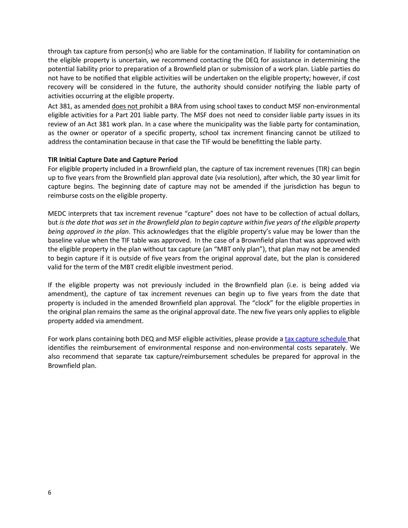through tax capture from person(s) who are liable for the contamination. If liability for contamination on the eligible property is uncertain, we recommend contacting the DEQ for assistance in determining the potential liability prior to preparation of a Brownfield plan or submission of a work plan. Liable parties do not have to be notified that eligible activities will be undertaken on the eligible property; however, if cost recovery will be considered in the future, the authority should consider notifying the liable party of activities occurring at the eligible property.

Act 381, as amended does not prohibit a BRA from using school taxes to conduct MSF non-environmental eligible activities for a Part 201 liable party. The MSF does not need to consider liable party issues in its review of an Act 381 work plan. In a case where the municipality was the liable party for contamination, as the owner or operator of a specific property, school tax increment financing cannot be utilized to address the contamination because in that case the TIF would be benefitting the liable party.

#### <span id="page-8-0"></span>**TIR Initial Capture Date and Capture Period**

For eligible property included in a Brownfield plan, the capture of tax increment revenues (TIR) can begin up to five years from the Brownfield plan approval date (via resolution), after which, the 30 year limit for capture begins. The beginning date of capture may not be amended if the jurisdiction has begun to reimburse costs on the eligible property.

MEDC interprets that tax increment revenue "capture" does not have to be collection of actual dollars, but is the date that was set in the Brownfield plan to begin capture within five years of the eligible property *being approved in the plan*. This acknowledges that the eligible property's value may be lower than the baseline value when the TIF table was approved. In the case of a Brownfield plan that was approved with the eligible property in the plan without tax capture (an "MBT only plan"), that plan may not be amended to begin capture if it is outside of five years from the original approval date, but the plan is considered valid for the term of the MBT credit eligible investment period.

If the eligible property was not previously included in the Brownfield plan (i.e. is being added via amendment), the capture of tax increment revenues can begin up to five years from the date that property is included in the amended Brownfield plan approval. The "clock" for the eligible properties in the original plan remains the same as the original approval date. The new five years only applies to eligible property added via amendment.

For work plans containing both DEQ and MSF eligible activities, please provide a tax capture [schedule](http://www.michiganadvantage.org/cm/Files/Brownfields/Sample-TIF-Table.xlsx) that identifies the reimbursement of environmental response and non-environmental costs separately. We also recommend that separate tax capture/reimbursement schedules be prepared for approval in the Brownfield plan.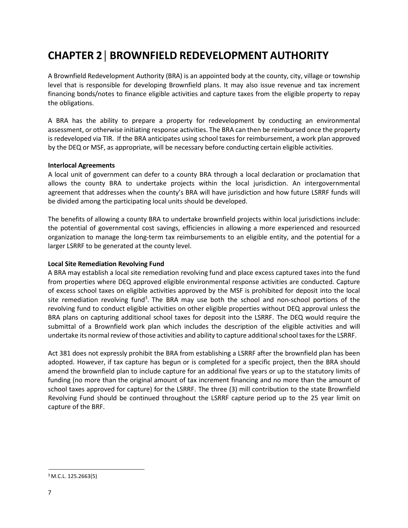### <span id="page-9-0"></span>**CHAPTER 2│BROWNFIELD REDEVELOPMENT AUTHORITY**

A Brownfield Redevelopment Authority (BRA) is an appointed body at the county, city, village or township level that is responsible for developing Brownfield plans. It may also issue revenue and tax increment financing bonds/notes to finance eligible activities and capture taxes from the eligible property to repay the obligations.

A BRA has the ability to prepare a property for redevelopment by conducting an environmental assessment, or otherwise initiating response activities. The BRA can then be reimbursed once the property is redeveloped via TIR. If the BRA anticipates using school taxes for reimbursement, a work plan approved by the DEQ or MSF, as appropriate, will be necessary before conducting certain eligible activities.

#### <span id="page-9-1"></span>**Interlocal Agreements**

A local unit of government can defer to a county BRA through a local declaration or proclamation that allows the county BRA to undertake projects within the local jurisdiction. An intergovernmental agreement that addresses when the county's BRA will have jurisdiction and how future LSRRF funds will be divided among the participating local units should be developed.

The benefits of allowing a county BRA to undertake brownfield projects within local jurisdictions include: the potential of governmental cost savings, efficiencies in allowing a more experienced and resourced organization to manage the long-term tax reimbursements to an eligible entity, and the potential for a larger LSRRF to be generated at the county level.

#### <span id="page-9-2"></span>**Local Site Remediation Revolving Fund**

A BRA may establish a local site remediation revolving fund and place excess captured taxes into the fund from properties where DEQ approved eligible environmental response activities are conducted. Capture of excess school taxes on eligible activities approved by the MSF is prohibited for deposit into the local site remediation revolving fund<sup>3</sup>. The BRA may use both the school and non-school portions of the revolving fund to conduct eligible activities on other eligible properties without DEQ approval unless the BRA plans on capturing additional school taxes for deposit into the LSRRF. The DEQ would require the submittal of a Brownfield work plan which includes the description of the eligible activities and will undertake its normal review of those activities and ability to capture additional school taxes for the LSRRF.

Act 381 does not expressly prohibit the BRA from establishing a LSRRF after the brownfield plan has been adopted. However, if tax capture has begun or is completed for a specific project, then the BRA should amend the brownfield plan to include capture for an additional five years or up to the statutory limits of funding (no more than the original amount of tax increment financing and no more than the amount of school taxes approved for capture) for the LSRRF. The three (3) mill contribution to the state Brownfield Revolving Fund should be continued throughout the LSRRF capture period up to the 25 year limit on capture of the BRF.

<sup>3</sup> M.C.L. 125.2663(5)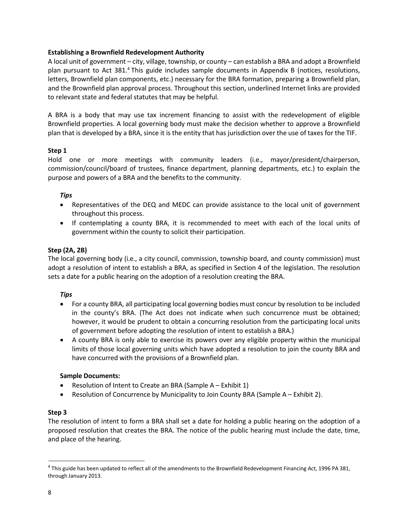#### <span id="page-10-0"></span>**Establishing a Brownfield Redevelopment Authority**

A local unit of government – city, village, township, or county – can establish a BRA and adopt a Brownfield plan pursuant to Act 381.4 This guide includes sample documents in Appendix B (notices, resolutions, letters, Brownfield plan components, etc.) necessary for the BRA formation, preparing a Brownfield plan, and the Brownfield plan approval process. Throughout this section, underlined Internet links are provided to relevant state and federal statutes that may be helpful.

A BRA is a body that may use tax increment financing to assist with the redevelopment of eligible Brownfield properties. A local governing body must make the decision whether to approve a Brownfield plan that is developed by a BRA, since it is the entity that has jurisdiction over the use of taxes for the TIF.

#### **Step 1**

Hold one or more meetings with community leaders (i.e., mayor/president/chairperson, commission/council/board of trustees, finance department, planning departments, etc.) to explain the purpose and powers of a BRA and the benefits to the community.

#### *Tips*

- Representatives of the DEQ and MEDC can provide assistance to the local unit of government throughout this process.
- If contemplating a county BRA, it is recommended to meet with each of the local units of government within the county to solicit their participation.

#### **Step (2A, 2B)**

The local governing body (i.e., a city council, commission, township board, and county commission) must adopt a resolution of intent to establish a BRA, as specified in Section 4 of the legislation. The resolution sets a date for a public hearing on the adoption of a resolution creating the BRA.

#### *Tips*

- For a county BRA, all participating local governing bodies must concur by resolution to be included in the county's BRA. (The Act does not indicate when such concurrence must be obtained; however, it would be prudent to obtain a concurring resolution from the participating local units of government before adopting the resolution of intent to establish a BRA.)
- A county BRA is only able to exercise its powers over any eligible property within the municipal limits of those local governing units which have adopted a resolution to join the county BRA and have concurred with the provisions of a Brownfield plan.

#### **Sample Documents:**

- Resolution of Intent to Create an BRA (Sample A Exhibit 1)
- Resolution of Concurrence by Municipality to Join County BRA (Sample A Exhibit 2).

#### **Step 3**

The resolution of intent to form a BRA shall set a date for holding a public hearing on the adoption of a proposed resolution that creates the BRA. The notice of the public hearing must include the date, time, and place of the hearing.

<sup>4</sup> This guide has been updated to reflect all of the amendments to the Brownfield Redevelopment Financing Act, 1996 PA 381, through January 2013.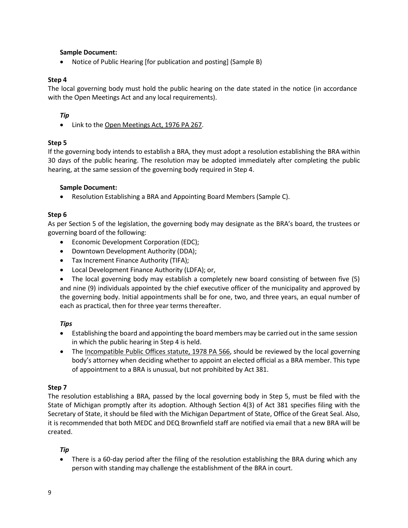#### **Sample Document:**

• Notice of Public Hearing [for publication and posting] (Sample B)

#### **Step 4**

The local governing body must hold the public hearing on the date stated in the notice (in accordance with the Open Meetings Act and any local requirements).

#### *Tip*

• Link to the Open [Meetings](http://www.legislature.mi.gov/(S(yh3g1p55uws2erewqt1egs55))/mileg.aspx?page=getobject&objectname=mcl-Act-267-of-1976&query=on) Act, 1976 PA 267.

#### **Step 5**

If the governing body intends to establish a BRA, they must adopt a resolution establishing the BRA within 30 days of the public hearing. The resolution may be adopted immediately after completing the public hearing, at the same session of the governing body required in Step 4.

#### **Sample Document:**

• Resolution Establishing a BRA and Appointing Board Members (Sample C).

#### **Step 6**

As per Section 5 of the legislation, the governing body may designate as the BRA's board, the trustees or governing board of the following:

- Economic Development Corporation (EDC);
- Downtown Development Authority (DDA);
- Tax Increment Finance Authority (TIFA);
- Local Development Finance Authority (LDFA); or,

• The local governing body may establish a completely new board consisting of between five (5) and nine (9) individuals appointed by the chief executive officer of the municipality and approved by the governing body. Initial appointments shall be for one, two, and three years, an equal number of each as practical, then for three year terms thereafter.

#### *Tips*

- Establishing the board and appointing the board members may be carried out in the same session in which the public hearing in Step 4 is held.
- The [Incompatible](http://www.legislature.mi.gov/(S(k0cnmzqzso41e2qked5dscqf))/mileg.aspx?page=getObject&objectName=mcl-Act-566-of-1978) Public Offices statute, 1978 PA 566, should be reviewed by the local governing body's attorney when deciding whether to appoint an elected official as a BRA member. This type of appointment to a BRA is unusual, but not prohibited by Act 381.

#### **Step 7**

The resolution establishing a BRA, passed by the local governing body in Step 5, must be filed with the State of Michigan promptly after its adoption. Although Section 4(3) of Act 381 specifies filing with the Secretary of State, it should be filed with the Michigan Department of State, Office of the Great Seal. Also, it is recommended that both MEDC and DEQ Brownfield staff are notified via email that a new BRA will be created.

#### *Tip*

• There is a 60-day period after the filing of the resolution establishing the BRA during which any person with standing may challenge the establishment of the BRA in court.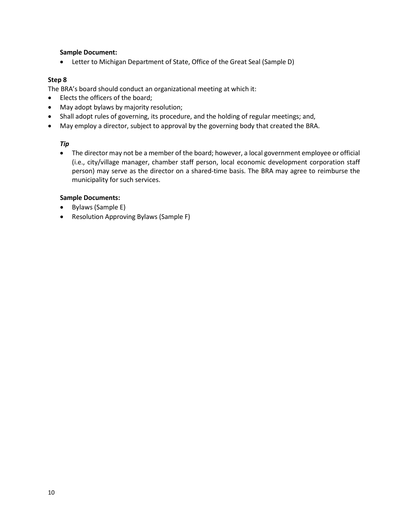#### **Sample Document:**

• Letter to Michigan Department of State, Office of the Great Seal (Sample D)

#### **Step 8**

The BRA's board should conduct an organizational meeting at which it:

- Elects the officers of the board;
- May adopt bylaws by majority resolution;
- Shall adopt rules of governing, its procedure, and the holding of regular meetings; and,
- May employ a director, subject to approval by the governing body that created the BRA.

#### *Tip*

• The director may not be a member of the board; however, a local government employee or official (i.e., city/village manager, chamber staff person, local economic development corporation staff person) may serve as the director on a shared-time basis. The BRA may agree to reimburse the municipality for such services.

#### **Sample Documents:**

- Bylaws (Sample E)
- Resolution Approving Bylaws (Sample F)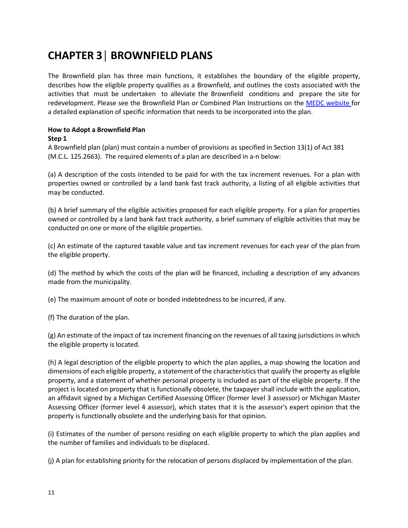### <span id="page-13-0"></span>**CHAPTER 3│ BROWNFIELD PLANS**

The Brownfield plan has three main functions, it establishes the boundary of the eligible property, describes how the eligible property qualifies as a Brownfield, and outlines the costs associated with the activities that must be undertaken to alleviate the Brownfield conditions and prepare the site for redevelopment. Please see the Brownfield Plan or Combined Plan Instructions on the MEDC [website](http://www.michiganbusiness.org/community/development-assistance/) for a detailed explanation of specific information that needs to be incorporated into the plan.

### <span id="page-13-1"></span>**How to Adopt a Brownfield Plan**

#### **Step 1**

A Brownfield plan (plan) must contain a number of provisions as specified in Section 13(1) of Act 381 (M.C.L. 125.2663). The required elements of a plan are described in a-n below:

(a) A description of the costs intended to be paid for with the tax increment revenues. For a plan with properties owned or controlled by a land bank fast track authority, a listing of all eligible activities that may be conducted.

(b) A brief summary of the eligible activities proposed for each eligible property. For a plan for properties owned or controlled by a land bank fast track authority, a brief summary of eligible activities that may be conducted on one or more of the eligible properties.

(c) An estimate of the captured taxable value and tax increment revenues for each year of the plan from the eligible property.

(d) The method by which the costs of the plan will be financed, including a description of any advances made from the municipality.

(e) The maximum amount of note or bonded indebtedness to be incurred, if any.

(f) The duration of the plan.

(g) An estimate of the impact of tax increment financing on the revenues of all taxing jurisdictions in which the eligible property is located.

(h) A legal description of the eligible property to which the plan applies, a map showing the location and dimensions of each eligible property, a statement of the characteristics that qualify the property as eligible property, and a statement of whether personal property is included as part of the eligible property. If the project is located on property that is functionally obsolete, the taxpayer shall include with the application, an affidavit signed by a Michigan Certified Assessing Officer (former level 3 assessor) or Michigan Master Assessing Officer (former level 4 assessor), which states that it is the assessor's expert opinion that the property is functionally obsolete and the underlying basis for that opinion.

(i) Estimates of the number of persons residing on each eligible property to which the plan applies and the number of families and individuals to be displaced.

(j) A plan for establishing priority for the relocation of persons displaced by implementation of the plan.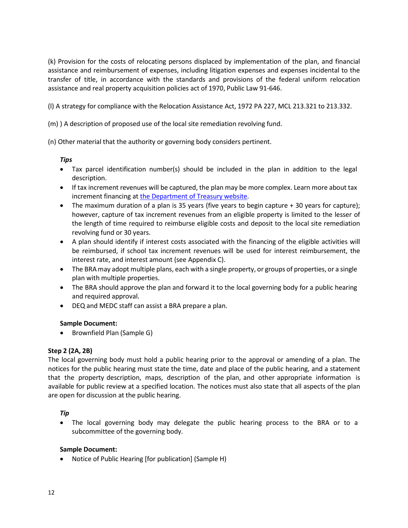(k) Provision for the costs of relocating persons displaced by implementation of the plan, and financial assistance and reimbursement of expenses, including litigation expenses and expenses incidental to the transfer of title, in accordance with the standards and provisions of the federal uniform relocation assistance and real property acquisition policies act of 1970, Public Law 91-646.

(l) A strategy for compliance with the Relocation Assistance Act, 1972 PA 227, MCL 213.321 to 213.332.

(m) ) A description of proposed use of the local site remediation revolving fund.

(n) Other material that the authority or governing body considers pertinent.

#### *Tips*

- Tax parcel identification number(s) should be included in the plan in addition to the legal description.
- If tax increment revenues will be captured, the plan may be more complex. Learn more about tax increment financing at the [Department](http://www.michigan.gov/taxes/0%2C4676%2C7-238-43876---F%2C00.html) of Treasury website.
- The maximum duration of a plan is 35 years (five years to begin capture + 30 years for capture); however, capture of tax increment revenues from an eligible property is limited to the lesser of the length of time required to reimburse eligible costs and deposit to the local site remediation revolving fund or 30 years.
- A plan should identify if interest costs associated with the financing of the eligible activities will be reimbursed, if school tax increment revenues will be used for interest reimbursement, the interest rate, and interest amount (see Appendix C).
- The BRA may adopt multiple plans, each with a single property, or groups of properties, or a single plan with multiple properties.
- The BRA should approve the plan and forward it to the local governing body for a public hearing and required approval.
- DEQ and MEDC staff can assist a BRA prepare a plan.

#### **Sample Document:**

• Brownfield Plan (Sample G)

#### **Step 2 (2A, 2B)**

The local governing body must hold a public hearing prior to the approval or amending of a plan. The notices for the public hearing must state the time, date and place of the public hearing, and a statement that the property description, maps, description of the plan, and other appropriate information is available for public review at a specified location. The notices must also state that all aspects of the plan are open for discussion at the public hearing.

#### *Tip*

• The local governing body may delegate the public hearing process to the BRA or to a subcommittee of the governing body.

#### **Sample Document:**

• Notice of Public Hearing [for publication] (Sample H)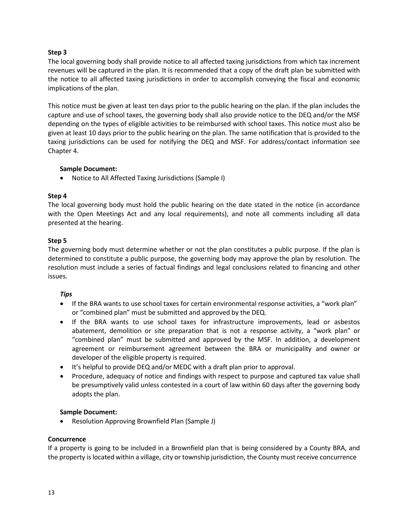#### **Step 3**

The local governing body shall provide notice to all affected taxing jurisdictions from which tax increment revenues will be captured in the plan. It is recommended that a copy of the draft plan be submitted with the notice to all affected taxing jurisdictions in order to accomplish conveying the fiscal and economic implications of the plan.

This notice must be given at least ten days prior to the public hearing on the plan. If the plan includes the capture and use of school taxes, the governing body shall also provide notice to the DEQ and/or the MSF depending on the types of eligible activities to be reimbursed with school taxes. This notice must also be given at least 10 days prior to the public hearing on the plan. The same notification that is provided to the taxing jurisdictions can be used for notifying the DEQ and MSF. For address/contact information see Chapter 4.

#### **Sample Document:**

• Notice to All Affected Taxing Jurisdictions (Sample I)

#### **Step 4**

The local governing body must hold the public hearing on the date stated in the notice (in accordance with the Open Meetings Act and any local requirements), and note all comments including all data presented at the hearing.

#### **Step 5**

The governing body must determine whether or not the plan constitutes a public purpose. If the plan is determined to constitute a public purpose, the governing body may approve the plan by resolution. The resolution must include a series of factual findings and legal conclusions related to financing and other issues.

#### *Tips*

- If the BRA wants to use school taxes for certain environmental response activities, a "work plan" or "combined plan" must be submitted and approved by the DEQ.
- If the BRA wants to use school taxes for infrastructure improvements, lead or asbestos abatement, demolition or site preparation that is not a response activity, a "work plan" or "combined plan" must be submitted and approved by the MSF. In addition, a development agreement or reimbursement agreement between the BRA or municipality and owner or developer of the eligible property is required.
- It's helpful to provide DEQ and/or MEDC with a draft plan prior to approval.
- Procedure, adequacy of notice and findings with respect to purpose and captured tax value shall be presumptively valid unless contested in a court of law within 60 days after the governing body adopts the plan.

#### **Sample Document:**

• Resolution Approving Brownfield Plan (Sample J)

#### **Concurrence**

If a property is going to be included in a Brownfield plan that is being considered by a County BRA, and the property islocated within a village, city or township jurisdiction, the County must receive concurrence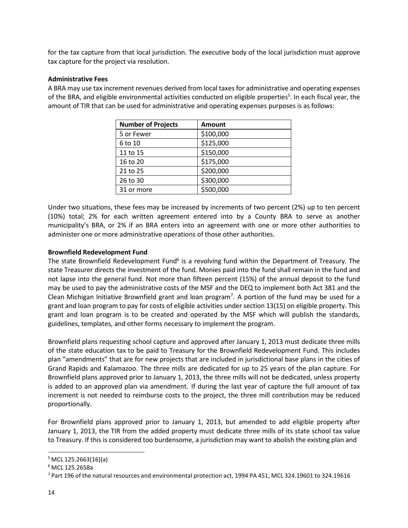for the tax capture from that local jurisdiction. The executive body of the local jurisdiction must approve tax capture for the project via resolution.

#### <span id="page-16-0"></span>**Administrative Fees**

A BRA may use tax increment revenues derived from local taxes for administrative and operating expenses of the BRA, and eligible environmental activities conducted on eligible properties<sup>5</sup>. In each fiscal year, the amount of TIR that can be used for administrative and operating expenses purposes is as follows:

| <b>Number of Projects</b> | <b>Amount</b> |
|---------------------------|---------------|
| 5 or Fewer                | \$100,000     |
| 6 to 10                   | \$125,000     |
| 11 to 15                  | \$150,000     |
| 16 to 20                  | \$175,000     |
| 21 to 25                  | \$200,000     |
| 26 to 30                  | \$300,000     |
| 31 or more                | \$500,000     |

Under two situations, these fees may be increased by increments of two percent (2%) up to ten percent (10%) total; 2% for each written agreement entered into by a County BRA to serve as another municipality's BRA, or 2% if an BRA enters into an agreement with one or more other authorities to administer one or more administrative operations of those other authorities.

#### <span id="page-16-1"></span>**Brownfield Redevelopment Fund**

The state Brownfield Redevelopment Fund<sup>6</sup> is a revolving fund within the Department of Treasury. The state Treasurer directs the investment of the fund. Monies paid into the fund shall remain in the fund and not lapse into the general fund. Not more than fifteen percent (15%) of the annual deposit to the fund may be used to pay the administrative costs of the MSF and the DEQ to implement both Act 381 and the Clean Michigan Initiative Brownfield grant and loan program<sup>7</sup>. A portion of the fund may be used for a grant and loan program to pay for costs of eligible activities under section 13(15) on eligible property. This grant and loan program is to be created and operated by the MSF which will publish the standards, guidelines, templates, and other forms necessary to implement the program.

Brownfield plans requesting school capture and approved after January 1, 2013 must dedicate three mills of the state education tax to be paid to Treasury for the Brownfield Redevelopment Fund. This includes plan "amendments" that are for new projects that are included in jurisdictional base plans in the cities of Grand Rapids and Kalamazoo. The three mills are dedicated for up to 25 years of the plan capture. For Brownfield plans approved prior to January 1, 2013, the three mills will not be dedicated, unless property is added to an approved plan via amendment. If during the last year of capture the full amount of tax increment is not needed to reimburse costs to the project, the three mill contribution may be reduced proportionally.

For Brownfield plans approved prior to January 1, 2013, but amended to add eligible property after January 1, 2013, the TIR from the added property must dedicate three mills of its state school tax value to Treasury. If this is considered too burdensome, a jurisdiction may want to abolish the existing plan and

 $5$  MCL 125.2663(16)(a)

<sup>6</sup> MCL 125.2658a

<sup>7</sup> Part 196 of the natural resources and environmental protection act, 1994 PA 451, MCL 324.19601 to 324.19616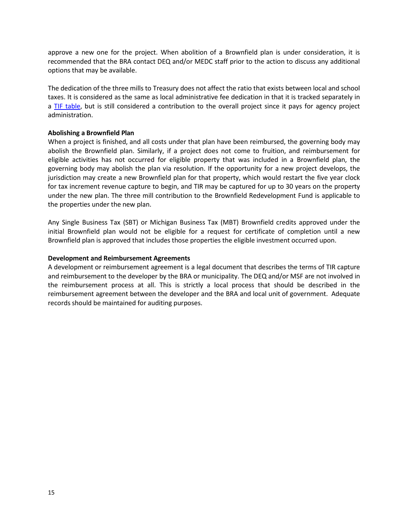approve a new one for the project. When abolition of a Brownfield plan is under consideration, it is recommended that the BRA contact DEQ and/or MEDC staff prior to the action to discuss any additional options that may be available.

The dedication of the three mills to Treasury does not affect the ratio that exists between local and school taxes. It is considered as the same as local administrative fee dedication in that it is tracked separately in a TIF [table,](http://www.michiganbusiness.org/cm/files/brownfields/sample-tif-table.xlsx) but is still considered a contribution to the overall project since it pays for agency project administration.

#### <span id="page-17-0"></span>**Abolishing a Brownfield Plan**

When a project is finished, and all costs under that plan have been reimbursed, the governing body may abolish the Brownfield plan. Similarly, if a project does not come to fruition, and reimbursement for eligible activities has not occurred for eligible property that was included in a Brownfield plan, the governing body may abolish the plan via resolution. If the opportunity for a new project develops, the jurisdiction may create a new Brownfield plan for that property, which would restart the five year clock for tax increment revenue capture to begin, and TIR may be captured for up to 30 years on the property under the new plan. The three mill contribution to the Brownfield Redevelopment Fund is applicable to the properties under the new plan.

Any Single Business Tax (SBT) or Michigan Business Tax (MBT) Brownfield credits approved under the initial Brownfield plan would not be eligible for a request for certificate of completion until a new Brownfield plan is approved that includes those properties the eligible investment occurred upon.

#### <span id="page-17-1"></span>**Development and Reimbursement Agreements**

A development or reimbursement agreement is a legal document that describes the terms of TIR capture and reimbursement to the developer by the BRA or municipality. The DEQ and/or MSF are not involved in the reimbursement process at all. This is strictly a local process that should be described in the reimbursement agreement between the developer and the BRA and local unit of government. Adequate records should be maintained for auditing purposes.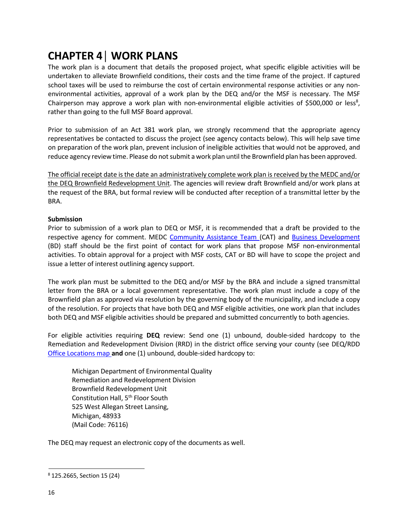### <span id="page-18-0"></span>**CHAPTER 4│ WORK PLANS**

The work plan is a document that details the proposed project, what specific eligible activities will be undertaken to alleviate Brownfield conditions, their costs and the time frame of the project. If captured school taxes will be used to reimburse the cost of certain environmental response activities or any nonenvironmental activities, approval of a work plan by the DEQ and/or the MSF is necessary. The MSF Chairperson may approve a work plan with non-environmental eligible activities of \$500,000 or less<sup>8</sup>, rather than going to the full MSF Board approval.

Prior to submission of an Act 381 work plan, we strongly recommend that the appropriate agency representatives be contacted to discuss the project (see agency contacts below). This will help save time on preparation of the work plan, prevent inclusion of ineligible activities that would not be approved, and reduce agency review time. Please do not submit a work plan until the Brownfield plan has been approved.

The official receipt date isthe date an administratively complete work plan is received by the MEDC and/or the DEQ Brownfield Redevelopment Unit. The agencies will review draft Brownfield and/or work plans at the request of the BRA, but formal review will be conducted after reception of a transmittal letter by the BRA.

#### <span id="page-18-1"></span>**Submission**

Prior to submission of a work plan to DEQ or MSF, it is recommended that a draft be provided to the respective agency for comment. MEDC [Community](http://www.michiganbusiness.org/cm/files/fact-sheets/catmap.pdf) Assistance Team (CAT) and Business [Development](http://www.michiganbusiness.org/cm/Files/Fact-Sheets/BDM_RegionsMap.pdf) (BD) staff should be the first point of contact for work plans that propose MSF non-environmental activities. To obtain approval for a project with MSF costs, CAT or BD will have to scope the project and issue a letter of interest outlining agency support.

The work plan must be submitted to the DEQ and/or MSF by the BRA and include a signed transmittal letter from the BRA or a local government representative. The work plan must include a copy of the Brownfield plan as approved via resolution by the governing body of the municipality, and include a copy of the resolution. For projects that have both DEQ and MSF eligible activities, one work plan that includes both DEQ and MSF eligible activities should be prepared and submitted concurrently to both agencies.

For eligible activities requiring **DEQ** review: Send one (1) unbound, double-sided hardcopy to the Remediation and Redevelopment Division (RRD) in the district office serving your county (see DEQ/RDD Office [Locations](http://www.michigan.gov/deq/0%2C4561%2C7-135-3311_4109_9846-321402--%2C00.html) map **and** one (1) unbound, double-sided hardcopy to:

Michigan Department of Environmental Quality Remediation and Redevelopment Division Brownfield Redevelopment Unit Constitution Hall, 5<sup>th</sup> Floor South 525 West Allegan Street Lansing, Michigan, 48933 (Mail Code: 76116)

The DEQ may request an electronic copy of the documents as well.

<sup>8</sup> 125.2665, Section 15 (24)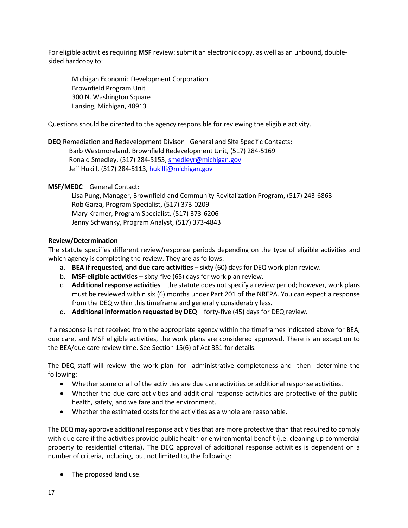For eligible activities requiring **MSF** review: submit an electronic copy, as well as an unbound, doublesided hardcopy to:

Michigan Economic Development Corporation Brownfield Program Unit 300 N. Washington Square Lansing, Michigan, 48913

Questions should be directed to the agency responsible for reviewing the eligible activity.

**DEQ** Remediation and Redevelopment Divison– General and Site Specific Contacts: Barb Westmoreland, Brownfield Redevelopment Unit, (517) 284-5169 Ronald Smedley, (517) 284-5153, [smedleyr@michigan.gov](mailto:smedleyr@michigan.gov) Jeff Hukill, (517) 284-5113, [hukillj@michigan.gov](mailto:hukillj@michigan.gov)

**MSF/MEDC** – General Contact:

Lisa Pung, Manager, Brownfield and Community Revitalization Program, (517) 243-6863 Rob Garza, Program Specialist, (517) 373-0209 Mary Kramer, Program Specialist, (517) 373-6206 Jenny Schwanky, Program Analyst, (517) 373-4843

#### <span id="page-19-0"></span>**Review/Determination**

The statute specifies different review/response periods depending on the type of eligible activities and which agency is completing the review. They are as follows:

- a. **BEA if requested, and due care activities** sixty (60) days for DEQ work plan review.
- b. **MSF-eligible activities** sixty-five (65) days for work plan review.
- c. **Additional response activities** the statute does notspecify a review period; however, work plans must be reviewed within six (6) months under Part 201 of the NREPA. You can expect a response from the DEQ within this timeframe and generally considerably less.
- d. **Additional information requested by DEQ** forty-five (45) days for DEQ review.

If a response is not received from the appropriate agency within the timeframes indicated above for BEA, due care, and MSF eligible activities, the work plans are considered approved. There is an exception to the BEA/due care review time. See [Section 15\(6\)](http://www.legislature.mi.gov/(S(mvjied455i5q4nqyfsvbom45))/mileg.aspx?page=getObject&objectName=mcl-125-2665) of Act 381 for details.

The DEQ staff will review the work plan for administrative completeness and then determine the following:

- Whether some or all of the activities are due care activities or additional response activities.
- Whether the due care activities and additional response activities are protective of the public health, safety, and welfare and the environment.
- Whether the estimated costs for the activities as a whole are reasonable.

The DEQ may approve additional response activities that are more protective than that required to comply with due care if the activities provide public health or environmental benefit (i.e. cleaning up commercial property to residential criteria). The DEQ approval of additional response activities is dependent on a number of criteria, including, but not limited to, the following:

• The proposed land use.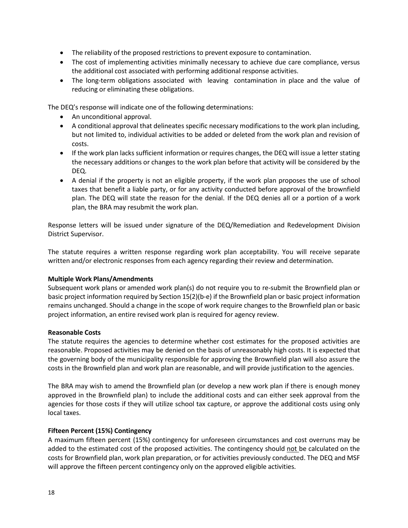- The reliability of the proposed restrictions to prevent exposure to contamination.
- The cost of implementing activities minimally necessary to achieve due care compliance, versus the additional cost associated with performing additional response activities.
- The long-term obligations associated with leaving contamination in place and the value of reducing or eliminating these obligations.

The DEQ's response will indicate one of the following determinations:

- An unconditional approval.
- A conditional approval that delineates specific necessary modifications to the work plan including, but not limited to, individual activities to be added or deleted from the work plan and revision of costs.
- If the work plan lacks sufficient information or requires changes, the DEQ will issue a letter stating the necessary additions or changes to the work plan before that activity will be considered by the DEQ.
- A denial if the property is not an eligible property, if the work plan proposes the use of school taxes that benefit a liable party, or for any activity conducted before approval of the brownfield plan. The DEQ will state the reason for the denial. If the DEQ denies all or a portion of a work plan, the BRA may resubmit the work plan.

Response letters will be issued under signature of the DEQ/Remediation and Redevelopment Division District Supervisor.

The statute requires a written response regarding work plan acceptability. You will receive separate written and/or electronic responses from each agency regarding their review and determination.

#### <span id="page-20-0"></span>**Multiple Work Plans/Amendments**

Subsequent work plans or amended work plan(s) do not require you to re-submit the Brownfield plan or basic project information required by Section 15(2)(b-e) if the Brownfield plan or basic project information remains unchanged. Should a change in the scope of work require changes to the Brownfield plan or basic project information, an entire revised work plan is required for agency review.

#### <span id="page-20-1"></span>**Reasonable Costs**

The statute requires the agencies to determine whether cost estimates for the proposed activities are reasonable. Proposed activities may be denied on the basis of unreasonably high costs. It is expected that the governing body of the municipality responsible for approving the Brownfield plan will also assure the costs in the Brownfield plan and work plan are reasonable, and will provide justification to the agencies.

The BRA may wish to amend the Brownfield plan (or develop a new work plan if there is enough money approved in the Brownfield plan) to include the additional costs and can either seek approval from the agencies for those costs if they will utilize school tax capture, or approve the additional costs using only local taxes.

#### <span id="page-20-2"></span>**Fifteen Percent (15%) Contingency**

A maximum fifteen percent (15%) contingency for unforeseen circumstances and cost overruns may be added to the estimated cost of the proposed activities. The contingency should not be calculated on the costs for Brownfield plan, work plan preparation, or for activities previously conducted. The DEQ and MSF will approve the fifteen percent contingency only on the approved eligible activities.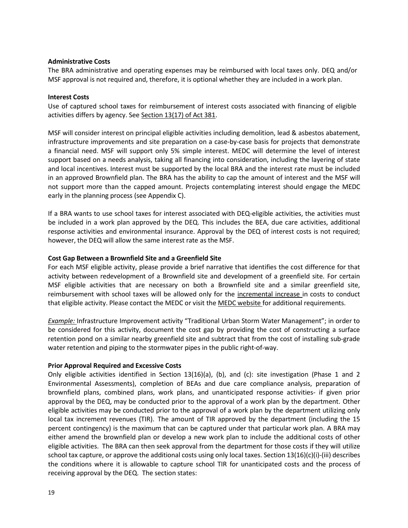#### <span id="page-21-0"></span>**Administrative Costs**

The BRA administrative and operating expenses may be reimbursed with local taxes only. DEQ and/or MSF approval is not required and, therefore, it is optional whether they are included in a work plan.

#### <span id="page-21-1"></span>**Interest Costs**

Use of captured school taxes for reimbursement of interest costs associated with financing of eligible activities differs by agency. See [Section 13\(17\)](http://www.legislature.mi.gov/(S(2v2pytj0ymmlel55sywjsf3e))/mileg.aspx?page=getObject&objectName=mcl-125-2663) of Act 381.

MSF will consider interest on principal eligible activities including demolition, lead & asbestos abatement, infrastructure improvements and site preparation on a case-by-case basis for projects that demonstrate a financial need. MSF will support only 5% simple interest. MEDC will determine the level of interest support based on a needs analysis, taking all financing into consideration, including the layering of state and local incentives. Interest must be supported by the local BRA and the interest rate must be included in an approved Brownfield plan. The BRA has the ability to cap the amount of interest and the MSF will not support more than the capped amount. Projects contemplating interest should engage the MEDC early in the planning process (see Appendix C).

If a BRA wants to use school taxes for interest associated with DEQ-eligible activities, the activities must be included in a work plan approved by the DEQ. This includes the BEA, due care activities, additional response activities and environmental insurance. Approval by the DEQ of interest costs is not required; however, the DEQ will allow the same interest rate as the MSF.

#### <span id="page-21-2"></span>**Cost Gap Between a Brownfield Site and a Greenfield Site**

For each MSF eligible activity, please provide a brief narrative that identifies the cost difference for that activity between redevelopment of a Brownfield site and development of a greenfield site. For certain MSF eligible activities that are necessary on both a Brownfield site and a similar greenfield site, reimbursement with school taxes will be allowed only for the incremental increase in costs to conduct that eligible activity. Please contact the MEDC or visit the MEDC [website](http://www.michiganadvantage.org/Brownfield-Redevelopment/) for additional requirements.

*Example:* Infrastructure Improvement activity "Traditional Urban Storm Water Management"; in order to be considered for this activity, document the cost gap by providing the cost of constructing a surface retention pond on a similar nearby greenfield site and subtract that from the cost of installing sub-grade water retention and piping to the stormwater pipes in the public right-of-way.

#### <span id="page-21-3"></span>**Prior Approval Required and Excessive Costs**

Only eligible activities identified in Section 13(16)(a), (b), and (c): site investigation (Phase 1 and 2 Environmental Assessments), completion of BEAs and due care compliance analysis, preparation of brownfield plans, combined plans, work plans, and unanticipated response activities- if given prior approval by the DEQ, may be conducted prior to the approval of a work plan by the department. Other eligible activities may be conducted prior to the approval of a work plan by the department utilizing only local tax increment revenues (TIR). The amount of TIR approved by the department (including the 15 percent contingency) is the maximum that can be captured under that particular work plan. A BRA may either amend the brownfield plan or develop a new work plan to include the additional costs of other eligible activities. The BRA can then seek approval from the department for those costs if they will utilize school tax capture, or approve the additional costs using only local taxes. Section  $13(16)(c)(i)$ -(iii) describes the conditions where it is allowable to capture school TIR for unanticipated costs and the process of receiving approval by the DEQ. The section states: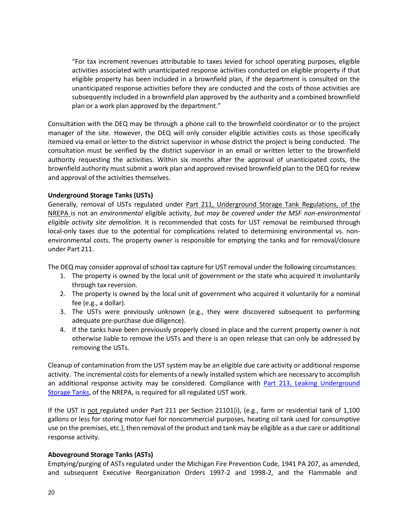"For tax increment revenues attributable to taxes levied for school operating purposes, eligible activities associated with unanticipated response activities conducted on eligible property if that eligible property has been included in a brownfield plan, if the department is consulted on the unanticipated response activities before they are conducted and the costs of those activities are subsequently included in a brownfield plan approved by the authority and a combined brownfield plan or a work plan approved by the department."

Consultation with the DEQ may be through a phone call to the brownfield coordinator or to the project manager of the site. However, the DEQ will only consider eligible activities costs as those specifically itemized via email or letter to the district supervisor in whose district the project is being conducted. The consultation must be verified by the district supervisor in an email or written letter to the brownfield authority requesting the activities. Within six months after the approval of unanticipated costs, the brownfield authority must submit a work plan and approved revised brownfield plan to the DEQ for review and approval of the activities themselves.

#### <span id="page-22-0"></span>**Underground Storage Tanks (USTs)**

Generally, removal of USTs regulated under Part 211, [Underground](http://www.legislature.mi.gov/(S(iwk3blum2u20j1ezklts5rjx))/mileg.aspx?page=getObject&objectName=mcl-451-1994-II-8-211&highlight=underground%20AND%20storage%20AND%20tanks) Storage Tank Regulations, of the [NREPA](http://www.legislature.mi.gov/(S(iwk3blum2u20j1ezklts5rjx))/mileg.aspx?page=getObject&objectName=mcl-451-1994-II-8-211&highlight=underground%20AND%20storage%20AND%20tanks) is not an *environmental* eligible activity, *but may be covered under the MSF non-environmental eligible activity site demolition*. It is recommended that costs for UST removal be reimbursed through local-only taxes due to the potential for complications related to determining environmental vs. nonenvironmental costs. The property owner is responsible for emptying the tanks and for removal/closure under Part 211.

The DEQ may consider approval of school tax capture for UST removal under the following circumstances:

- 1. The property is owned by the local unit of government or the state who acquired it involuntarily through tax reversion.
- 2. The property is owned by the local unit of government who acquired it voluntarily for a nominal fee (e.g., a dollar).
- 3. The USTs were previously unknown (e.g., they were discovered subsequent to performing adequate pre-purchase due diligence).
- 4. If the tanks have been previously properly closed in place and the current property owner is not otherwise liable to remove the USTs and there is an open release that can only be addressed by removing the USTs.

Cleanup of contamination from the UST system may be an eligible due care activity or additional response activity. The incremental costs for elements of a newly installed system which are necessary to accomplish an additional response activity may be considered. Compliance with Part 213, Leaking [Underground](http://www.legislature.mi.gov/(S(ezjzpbro5e1z3k3vmwveuvag))/mileg.aspx?page=getObject&objectName=mcl-451-1994-II-8-213&highlight=underground%20AND%20storage%20AND%20tanks) [Storage](http://www.legislature.mi.gov/(S(ezjzpbro5e1z3k3vmwveuvag))/mileg.aspx?page=getObject&objectName=mcl-451-1994-II-8-213&highlight=underground%20AND%20storage%20AND%20tanks) Tanks, of the NREPA, is required for all regulated UST work.

If the UST is not regulated under Part 211 per Section 21101(i), (e.g., farm or residential tank of 1,100 gallons or less for storing motor fuel for noncommercial purposes, heating oil tank used for consumptive use on the premises, etc.), then removal of the product and tank may be eligible as a due care or additional response activity.

#### <span id="page-22-1"></span>**Aboveground Storage Tanks (ASTs)**

Emptying/purging of ASTs regulated under the Michigan Fire Prevention Code, 1941 PA 207, as amended, and subsequent Executive Reorganization Orders 1997-2 and 1998-2, and the Flammable and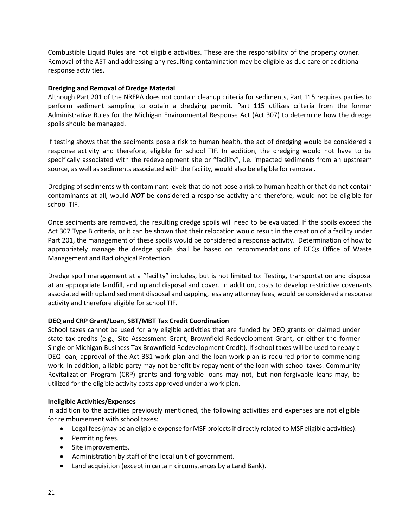Combustible Liquid Rules are not eligible activities. These are the responsibility of the property owner. Removal of the AST and addressing any resulting contamination may be eligible as due care or additional response activities.

#### <span id="page-23-0"></span>**Dredging and Removal of Dredge Material**

Although Part 201 of the NREPA does not contain cleanup criteria for sediments, Part 115 requires parties to perform sediment sampling to obtain a dredging permit. Part 115 utilizes criteria from the former Administrative Rules for the Michigan Environmental Response Act (Act 307) to determine how the dredge spoils should be managed.

If testing shows that the sediments pose a risk to human health, the act of dredging would be considered a response activity and therefore, eligible for school TIF. In addition, the dredging would not have to be specifically associated with the redevelopment site or "facility", i.e. impacted sediments from an upstream source, as well as sediments associated with the facility, would also be eligible for removal.

Dredging of sediments with contaminant levels that do not pose a risk to human health or that do not contain contaminants at all, would *NOT* be considered a response activity and therefore, would not be eligible for school TIF.

Once sediments are removed, the resulting dredge spoils will need to be evaluated. If the spoils exceed the Act 307 Type B criteria, or it can be shown that their relocation would result in the creation of a facility under Part 201, the management of these spoils would be considered a response activity. Determination of how to appropriately manage the dredge spoils shall be based on recommendations of DEQs Office of Waste Management and Radiological Protection.

Dredge spoil management at a "facility" includes, but is not limited to: Testing, transportation and disposal at an appropriate landfill, and upland disposal and cover. In addition, costs to develop restrictive covenants associated with upland sediment disposal and capping, less any attorney fees, would be considered a response activity and therefore eligible for school TIF.

#### <span id="page-23-1"></span>**DEQ and CRP Grant/Loan, SBT/MBT Tax Credit Coordination**

School taxes cannot be used for any eligible activities that are funded by DEQ grants or claimed under state tax credits (e.g., Site Assessment Grant, Brownfield Redevelopment Grant, or either the former Single or Michigan Business Tax Brownfield Redevelopment Credit). If school taxes will be used to repay a DEQ loan, approval of the Act 381 work plan and the loan work plan is required prior to commencing work. In addition, a liable party may not benefit by repayment of the loan with school taxes. Community Revitalization Program (CRP) grants and forgivable loans may not, but non-forgivable loans may, be utilized for the eligible activity costs approved under a work plan.

#### <span id="page-23-2"></span>**Ineligible Activities/Expenses**

In addition to the activities previously mentioned, the following activities and expenses are not eligible for reimbursement with school taxes:

- Legal fees(may be an eligible expense for MSF projectsif directly related to MSF eligible activities).
- Permitting fees.
- Site improvements.
- Administration by staff of the local unit of government.
- Land acquisition (except in certain circumstances by a Land Bank).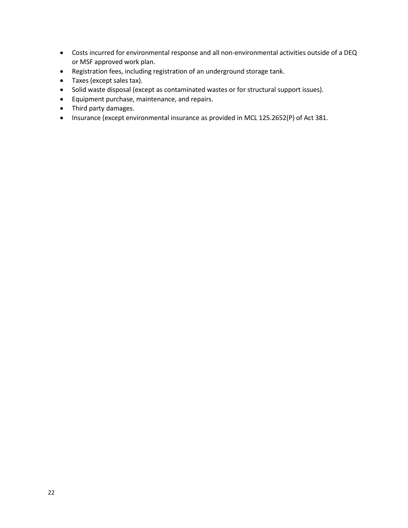- Costs incurred for environmental response and all non-environmental activities outside of a DEQ or MSF approved work plan.
- Registration fees, including registration of an underground storage tank.
- Taxes (except sales tax).
- Solid waste disposal (except as contaminated wastes or for structural support issues).
- Equipment purchase, maintenance, and repairs.
- Third party damages.
- Insurance (except environmental insurance as provided in MCL 125.2652(P) of Act 381.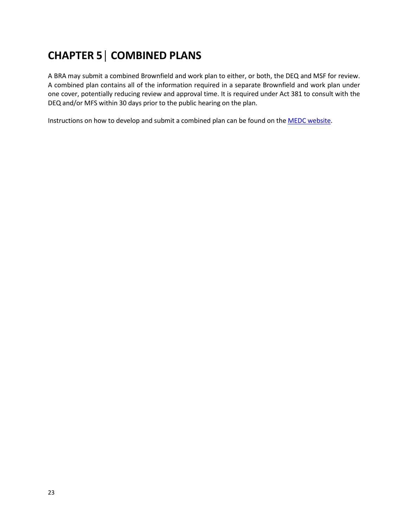## <span id="page-25-0"></span>**CHAPTER 5│ COMBINED PLANS**

A BRA may submit a combined Brownfield and work plan to either, or both, the DEQ and MSF for review. A combined plan contains all of the information required in a separate Brownfield and work plan under one cover, potentially reducing review and approval time. It is required under Act 381 to consult with the DEQ and/or MFS within 30 days prior to the public hearing on the plan.

Instructions on how to develop and submit a combined plan can be found on the [MEDC website.](http://www.michiganbusiness.org/community/development-assistance/)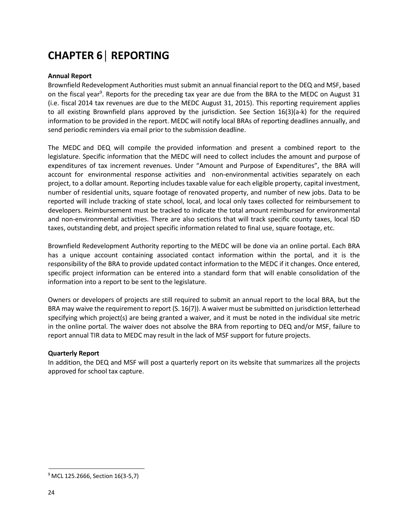## <span id="page-26-0"></span>**CHAPTER 6│ REPORTING**

#### <span id="page-26-1"></span>**Annual Report**

Brownfield Redevelopment Authorities must submit an annual financial report to the DEQ and MSF, based on the fiscal year<sup>9</sup>. Reports for the preceding tax year are due from the BRA to the MEDC on August 31 (i.e. fiscal 2014 tax revenues are due to the MEDC August 31, 2015). This reporting requirement applies to all existing Brownfield plans approved by the jurisdiction. See Section 16(3)(a-k) for the required information to be provided in the report. MEDC will notify local BRAs of reporting deadlines annually, and send periodic reminders via email prior to the submission deadline.

The MEDC and DEQ will compile the provided information and present a combined report to the legislature. Specific information that the MEDC will need to collect includes the amount and purpose of expenditures of tax increment revenues. Under "Amount and Purpose of Expenditures", the BRA will account for environmental response activities and non-environmental activities separately on each project, to a dollar amount. Reporting includes taxable value for each eligible property, capital investment, number of residential units, square footage of renovated property, and number of new jobs. Data to be reported will include tracking of state school, local, and local only taxes collected for reimbursement to developers. Reimbursement must be tracked to indicate the total amount reimbursed for environmental and non-environmental activities. There are also sections that will track specific county taxes, local ISD taxes, outstanding debt, and project specific information related to final use, square footage, etc.

Brownfield Redevelopment Authority reporting to the MEDC will be done via an online portal. Each BRA has a unique account containing associated contact information within the portal, and it is the responsibility of the BRA to provide updated contact information to the MEDC if it changes. Once entered, specific project information can be entered into a standard form that will enable consolidation of the information into a report to be sent to the legislature.

Owners or developers of projects are still required to submit an annual report to the local BRA, but the BRA may waive the requirement to report (S. 16(7)). A waiver must be submitted on jurisdiction letterhead specifying which project(s) are being granted a waiver, and it must be noted in the individual site metric in the online portal. The waiver does not absolve the BRA from reporting to DEQ and/or MSF, failure to report annual TIR data to MEDC may result in the lack of MSF support for future projects.

#### <span id="page-26-2"></span>**Quarterly Report**

In addition, the DEQ and MSF will post a quarterly report on its website that summarizes all the projects approved for school tax capture.

<sup>&</sup>lt;sup>9</sup> MCL 125.2666, Section 16(3-5,7)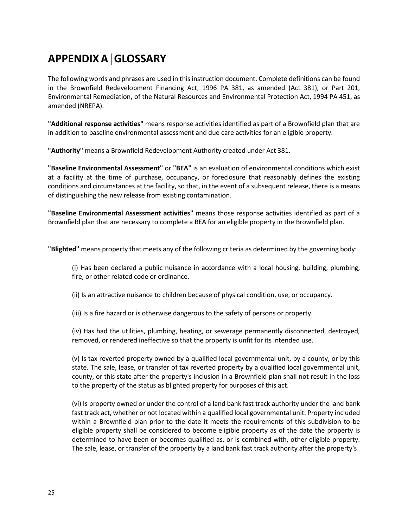## <span id="page-27-0"></span>**APPENDIXA│GLOSSARY**

The following words and phrases are used in this instruction document. Complete definitions can be found in the Brownfield Redevelopment Financing Act, 1996 PA 381, as amended (Act 381), or Part 201, Environmental Remediation, of the Natural Resources and Environmental Protection Act, 1994 PA 451, as amended (NREPA).

**"Additional response activities"** means response activities identified as part of a Brownfield plan that are in addition to baseline environmental assessment and due care activities for an eligible property.

**"Authority"** means a Brownfield Redevelopment Authority created under Act 381.

**"Baseline Environmental Assessment"** or **"BEA"** is an evaluation of environmental conditions which exist at a facility at the time of purchase, occupancy, or foreclosure that reasonably defines the existing conditions and circumstances at the facility, so that, in the event of a subsequent release, there is a means of distinguishing the new release from existing contamination.

**"Baseline Environmental Assessment activities"** means those response activities identified as part of a Brownfield plan that are necessary to complete a BEA for an eligible property in the Brownfield plan.

**"Blighted"** means property that meets any of the following criteria as determined by the governing body:

(i) Has been declared a public nuisance in accordance with a local housing, building, plumbing, fire, or other related code or ordinance.

(ii) Is an attractive nuisance to children because of physical condition, use, or occupancy.

(iii) Is a fire hazard or is otherwise dangerous to the safety of persons or property.

(iv) Has had the utilities, plumbing, heating, or sewerage permanently disconnected, destroyed, removed, or rendered ineffective so that the property is unfit for its intended use.

(v) Is tax reverted property owned by a qualified local governmental unit, by a county, or by this state. The sale, lease, or transfer of tax reverted property by a qualified local governmental unit, county, or this state after the property's inclusion in a Brownfield plan shall not result in the loss to the property of the status as blighted property for purposes of this act.

(vi) Is property owned or under the control of a land bank fast track authority under the land bank fast track act, whether or not located within a qualified local governmental unit. Property included within a Brownfield plan prior to the date it meets the requirements of this subdivision to be eligible property shall be considered to become eligible property as of the date the property is determined to have been or becomes qualified as, or is combined with, other eligible property. The sale, lease, or transfer of the property by a land bank fast track authority after the property's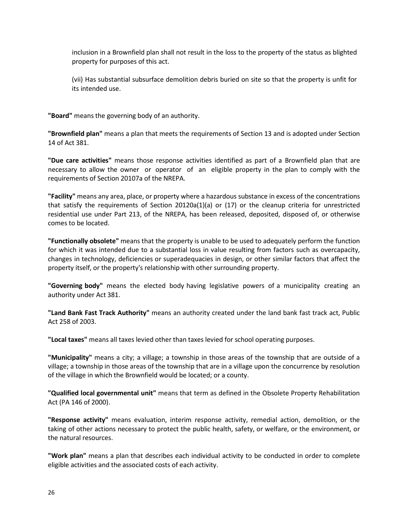inclusion in a Brownfield plan shall not result in the loss to the property of the status as blighted property for purposes of this act.

(vii) Has substantial subsurface demolition debris buried on site so that the property is unfit for its intended use.

**"Board"** means the governing body of an authority.

**"Brownfield plan"** means a plan that meets the requirements of Section 13 and is adopted under Section 14 of Act 381.

**"Due care activities"** means those response activities identified as part of a Brownfield plan that are necessary to allow the owner or operator of an eligible property in the plan to comply with the requirements of Section 20107a of the NREPA.

**"Facility"** means any area, place, or property where a hazardous substance in excess of the concentrations that satisfy the requirements of Section 20120a(1)(a) or (17) or the cleanup criteria for unrestricted residential use under Part 213, of the NREPA, has been released, deposited, disposed of, or otherwise comes to be located.

**"Functionally obsolete"** means that the property is unable to be used to adequately perform the function for which it was intended due to a substantial loss in value resulting from factors such as overcapacity, changes in technology, deficiencies or superadequacies in design, or other similar factors that affect the property itself, or the property's relationship with other surrounding property.

**"Governing body"** means the elected body having legislative powers of a municipality creating an authority under Act 381.

**"Land Bank Fast Track Authority"** means an authority created under the land bank fast track act, Public Act 258 of 2003.

**"Local taxes"** means all taxes levied other than taxes levied for school operating purposes.

**"Municipality"** means a city; a village; a township in those areas of the township that are outside of a village; a township in those areas of the township that are in a village upon the concurrence by resolution of the village in which the Brownfield would be located; or a county.

**"Qualified local governmental unit"** means that term as defined in the Obsolete Property Rehabilitation Act (PA 146 of 2000).

**"Response activity"** means evaluation, interim response activity, remedial action, demolition, or the taking of other actions necessary to protect the public health, safety, or welfare, or the environment, or the natural resources.

**"Work plan"** means a plan that describes each individual activity to be conducted in order to complete eligible activities and the associated costs of each activity.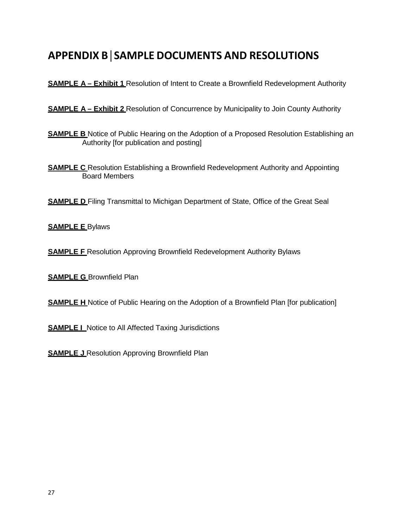### <span id="page-29-0"></span>**APPENDIX B│SAMPLE DOCUMENTS AND RESOLUTIONS**

**SAMPLE A – Exhibit 1 Resolution of Intent to Create a Brownfield Redevelopment Authority** 

**SAMPLE A – Exhibit 2** Resolution of Concurrence by Municipality to Join County Authority

- **SAMPLE B** Notice of Public Hearing on the Adoption of a Proposed Resolution Establishing an Authority [for publication and posting]
- **SAMPLE C** Resolution Establishing a Brownfield Redevelopment Authority and Appointing Board Members

**SAMPLE D** Filing Transmittal to Michigan Department of State, Office of the Great Seal

**SAMPLE E** Bylaws

**SAMPLE F** Resolution Approving Brownfield Redevelopment Authority Bylaws

**SAMPLE G** Brownfield Plan

**SAMPLE H** Notice of Public Hearing on the Adoption of a Brownfield Plan [for publication]

**SAMPLE I** Notice to All Affected Taxing Jurisdictions

**SAMPLE J** Resolution Approving Brownfield Plan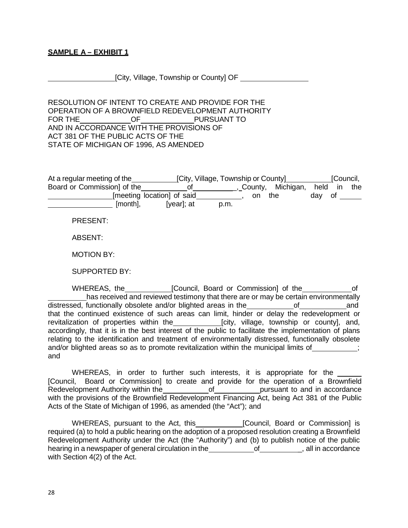#### **SAMPLE A – EXHIBIT 1**

[City, Village, Township or County] OF

RESOLUTION OF INTENT TO CREATE AND PROVIDE FOR THE OPERATION OF A BROWNFIELD REDEVELOPMENT AUTHORITY FOR THE **OF PURSUANT TO** AND IN ACCORDANCE WITH THE PROVISIONS OF ACT 381 OF THE PUBLIC ACTS OF THE STATE OF MICHIGAN OF 1996, AS AMENDED

| At a regular meeting of the | [City, Village, Township or County] |      |     |                   |        | [Council, |     |  |
|-----------------------------|-------------------------------------|------|-----|-------------------|--------|-----------|-----|--|
| Board or Commission] of the |                                     |      |     | County, Michigan, | held   | ın        | the |  |
|                             | [meeting location] of said          |      | on. | the               | day of |           |     |  |
| [month],                    | [year]; at                          | p.m. |     |                   |        |           |     |  |

PRESENT:

ABSENT:

MOTION BY:

SUPPORTED BY:

WHEREAS, the **[Council, Board or Commission]** of the of has received and reviewed testimony that there are or may be certain environmentally distressed, functionally obsolete and/or blighted areas in the\_\_\_\_\_\_\_\_\_\_\_\_\_of\_\_\_\_\_\_\_\_\_\_\_\_\_\_and that the continued existence of such areas can limit, hinder or delay the redevelopment or revitalization of properties within the **[city, village, township or county]**, and, accordingly, that it is in the best interest of the public to facilitate the implementation of plans relating to the identification and treatment of environmentally distressed, functionally obsolete and/or blighted areas so as to promote revitalization within the municipal limits of  $\ddot{\hspace{1cm}}$ ; and

WHEREAS, in order to further such interests, it is appropriate for the [Council, Board or Commission] to create and provide for the operation of a Brownfield Redevelopment Authority within the of pursuant to and in accordance with the provisions of the Brownfield Redevelopment Financing Act, being Act 381 of the Public Acts of the State of Michigan of 1996, as amended (the "Act"); and

WHEREAS, pursuant to the Act, this [Council, Board or Commission] is required (a) to hold a public hearing on the adoption of a proposed resolution creating a Brownfield Redevelopment Authority under the Act (the "Authority") and (b) to publish notice of the public hearing in a newspaper of general circulation in the order of order order and in accordance with Section 4(2) of the Act.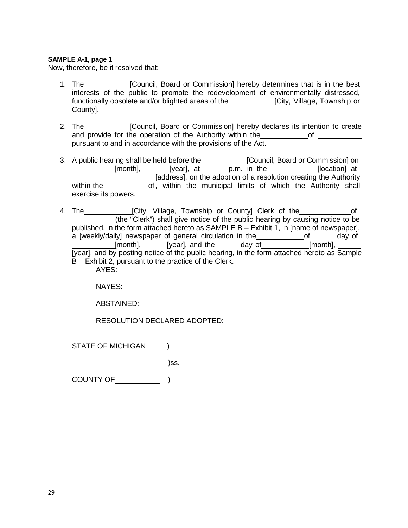#### **SAMPLE A-1, page 1**

Now, therefore, be it resolved that:

- 1. The **[Council, Board or Commission]** hereby determines that is in the best interests of the public to promote the redevelopment of environmentally distressed, functionally obsolete and/or blighted areas of the **[City, Village, Township or** County].
- 2. The **[Council, Board or Commission] hereby declares its intention to create** and provide for the operation of the Authority within the of pursuant to and in accordance with the provisions of the Act.
- 3. A public hearing shall be held before the [Council, Board or Commission] on p.m. in the [location] at [address], on the adoption of a resolution creating the Authority within the **of**, within the municipal limits of which the Authority shall exercise its powers.
- 4. The [City, Village, Township or County] Clerk of the (the "Clerk") shall give notice of the public hearing by causing notice to be published, in the form attached hereto as SAMPLE B – Exhibit 1, in [name of newspaper], a [weekly/daily] newspaper of general circulation in the of of day of  $[$ month],  $[year]$ , and the day  $of$  [month], [year], and by posting notice of the public hearing, in the form attached hereto as Sample B – Exhibit 2, pursuant to the practice of the Clerk. AYES:

NAYES:

ABSTAINED:

RESOLUTION DECLARED ADOPTED:

STATE OF MICHIGAN (1)

)ss.

COUNTY OF  $)$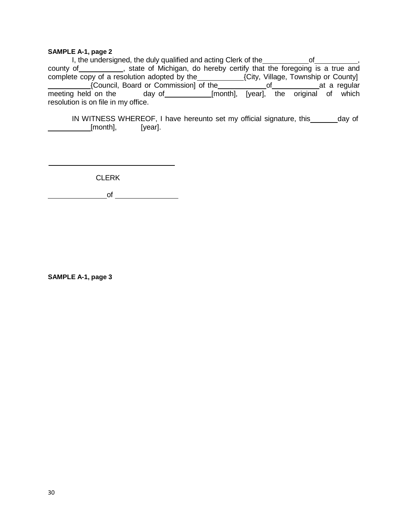#### **SAMPLE A-1, page 2**

I, the undersigned, the duly qualified and acting Clerk of the **computer of the state of the computer**, county of \_\_\_\_\_\_\_\_\_\_\_, state of Michigan, do hereby certify that the foregoing is a true and complete copy of a resolution adopted by the\_etcocally (City, Village, Township or County] {Council, Board or Commission] of the extint and of at a regular meeting held on the day of [month], [year], the original of which resolution is on file in my office.

IN WITNESS WHEREOF, I have hereunto set my official signature, this \_\_\_\_\_\_ day of [month], [year].

CLERK

 $\overline{\phantom{a}}$  of  $\overline{\phantom{a}}$ 

**SAMPLE A-1, page 3**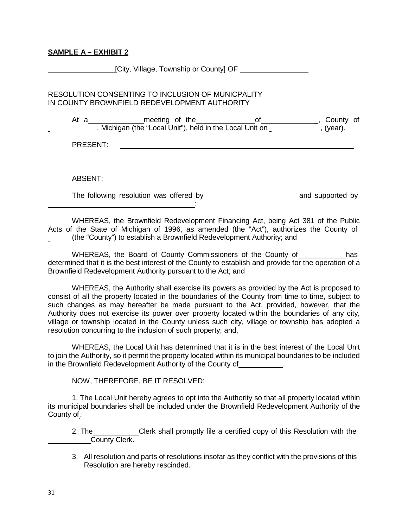#### **SAMPLE A – EXHIBIT 2**

**EXECUTE:** [City, Village, Township or County] OF RESOLUTION CONSENTING TO INCLUSION OF MUNICPALITY IN COUNTY BROWNFIELD REDEVELOPMENT AUTHORITY At a\_\_\_\_\_\_\_\_\_\_\_\_\_\_\_meeting of the\_\_\_\_\_\_\_\_\_\_\_\_\_\_\_of\_\_\_\_\_\_\_\_\_\_\_\_\_\_\_\_, County of , Michigan (the "Local Unit"), held in the Local Unit on \_ \_ \_ \_ \_ \_ \_ \_ , (year). PRESENT: ABSENT: The following resolution was offered by and supported by :

WHEREAS, the Brownfield Redevelopment Financing Act, being Act 381 of the Public Acts of the State of Michigan of 1996, as amended (the "Act"), authorizes the County of (the "County") to establish a Brownfield Redevelopment Authority; and

WHEREAS, the Board of County Commissioners of the County of has determined that it is the best interest of the County to establish and provide for the operation of a Brownfield Redevelopment Authority pursuant to the Act; and

WHEREAS, the Authority shall exercise its powers as provided by the Act is proposed to consist of all the property located in the boundaries of the County from time to time, subject to such changes as may hereafter be made pursuant to the Act, provided, however, that the Authority does not exercise its power over property located within the boundaries of any city, village or township located in the County unless such city, village or township has adopted a resolution concurring to the inclusion of such property; and,

WHEREAS, the Local Unit has determined that it is in the best interest of the Local Unit to join the Authority, so it permit the property located within its municipal boundaries to be included in the Brownfield Redevelopment Authority of the County of .

NOW, THEREFORE, BE IT RESOLVED:

1. The Local Unit hereby agrees to opt into the Authority so that all property located within its municipal boundaries shall be included under the Brownfield Redevelopment Authority of the County of.

2. The Clerk shall promptly file a certified copy of this Resolution with the County Clerk.

3. All resolution and parts of resolutions insofar as they conflict with the provisions of this Resolution are hereby rescinded.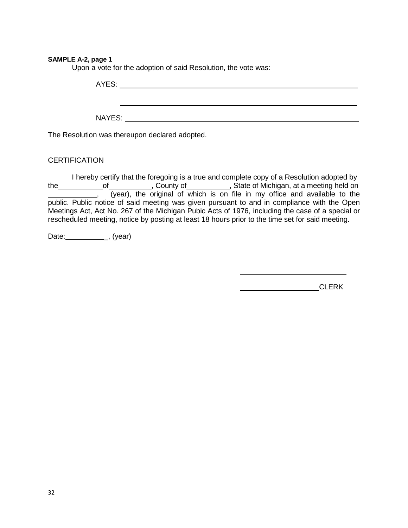#### **SAMPLE A-2, page 1**

Upon a vote for the adoption of said Resolution, the vote was:

AYES: New York Contract the Contract of the Contract of the Contract of the Contract of the Contract of the Contract of the Contract of the Contract of the Contract of the Contract of the Contract of the Contract of the Co

NAYES:

The Resolution was thereupon declared adopted.

#### **CERTIFICATION**

I hereby certify that the foregoing is a true and complete copy of a Resolution adopted by the\_\_\_\_\_\_\_\_\_\_\_\_of\_\_\_\_\_\_\_\_\_\_\_\_, County of\_\_\_\_\_\_\_\_\_\_\_, State of Michigan, at a meeting held on , (year), the original of which is on file in my office and available to the public. Public notice of said meeting was given pursuant to and in compliance with the Open Meetings Act, Act No. 267 of the Michigan Pubic Acts of 1976, including the case of a special or rescheduled meeting, notice by posting at least 18 hours prior to the time set for said meeting.

Date:  $\qquad \qquad \_ , (year)$ 

**CLERK**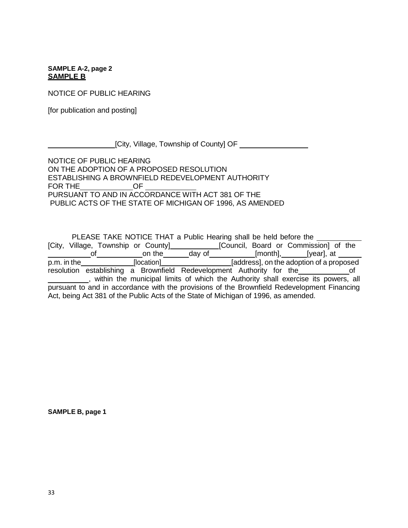**SAMPLE A-2, page 2 SAMPLE B**

NOTICE OF PUBLIC HEARING

[for publication and posting]

[City, Village, Township of County] OF

NOTICE OF PUBLIC HEARING ON THE ADOPTION OF A PROPOSED RESOLUTION ESTABLISHING A BROWNFIELD REDEVELOPMENT AUTHORITY FOR THE OF PURSUANT TO AND IN ACCORDANCE WITH ACT 381 OF THE PUBLIC ACTS OF THE STATE OF MICHIGAN OF 1996, AS AMENDED

PLEASE TAKE NOTICE THAT a Public Hearing shall be held before the [City, Village, Township or County] [Council, Board or Commission] of the of the of the day of the day of and the day of the syncal, at of on the day of [month], [year], at p.m. in the **contract of the intervalse of the intervalse in the adoption of a proposed** resolution establishing a Brownfield Redevelopment Authority for the of , within the municipal limits of which the Authority shall exercise its powers, all pursuant to and in accordance with the provisions of the Brownfield Redevelopment Financing Act, being Act 381 of the Public Acts of the State of Michigan of 1996, as amended.

**SAMPLE B, page 1**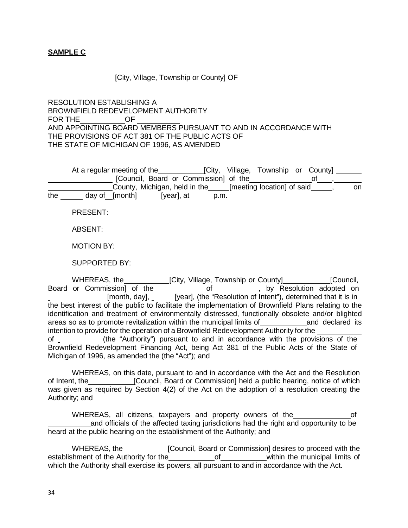# **SAMPLE C**

[City, Village, Township or County] OF

RESOLUTION ESTABLISHING A BROWNFIELD REDEVELOPMENT AUTHORITY FOR THE OF AND APPOINTING BOARD MEMBERS PURSUANT TO AND IN ACCORDANCE WITH THE PROVISIONS OF ACT 381 OF THE PUBLIC ACTS OF THE STATE OF MICHIGAN OF 1996, AS AMENDED

At a regular meeting of the **[City, Village, Township or County]** [Council, Board or Commission] of the **contain the contact of contact** of the set County, Michigan, held in the\_edimeeting location] of said\_edimenty, compare the day of [month] [year], at p.m.

PRESENT:

ABSENT:

MOTION BY:

SUPPORTED BY:

WHEREAS, the **[City, Village, Township or County** [Council, Board or Commission of the of the of the state of the state of the state of the state of the state of the state of the state is in (year), (the "Resolution of Intent"), determined that it is in [year], (the "Resolution of Intent"), determined that it is in the best interest of the public to facilitate the implementation of Brownfield Plans relating to the identification and treatment of environmentally distressed, functionally obsolete and/or blighted areas so as to promote revitalization within the municipal limits of and declared its intention to provide for the operation of a Brownfield Redevelopment Authority for the of (the "Authority") pursuant to and in accordance with the provisions of the Brownfield Redevelopment Financing Act, being Act 381 of the Public Acts of the State of Michigan of 1996, as amended the (the "Act"); and

WHEREAS, on this date, pursuant to and in accordance with the Act and the Resolution of Intent, the **[Council, Board or Commission]** held a public hearing, notice of which was given as required by Section 4(2) of the Act on the adoption of a resolution creating the Authority; and

WHEREAS, all citizens, taxpayers and property owners of the of and officials of the affected taxing jurisdictions had the right and opportunity to be heard at the public hearing on the establishment of the Authority; and

WHEREAS, the **[Council, Board or Commission]** desires to proceed with the establishment of the Authority for the of within the municipal limits of which the Authority shall exercise its powers, all pursuant to and in accordance with the Act.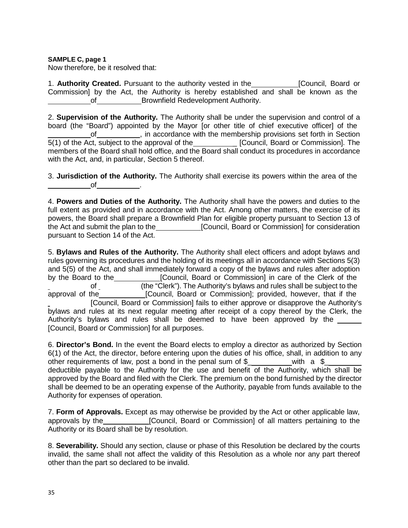## **SAMPLE C, page 1**

Now therefore, be it resolved that:

1. **Authority Created.** Pursuant to the authority vested in the [Council, Board or Commission] by the Act, the Authority is hereby established and shall be known as the of Brownfield Redevelopment Authority.

2. **Supervision of the Authority.** The Authority shall be under the supervision and control of a board (the "Board") appointed by the Mayor [or other title of chief executive officer] of the of , in accordance with the membership provisions set forth in Section 5(1) of the Act, subject to the approval of the \_\_\_\_\_\_\_\_\_\_\_\_\_ [Council, Board or Commission]. The members of the Board shall hold office, and the Board shall conduct its procedures in accordance with the Act, and, in particular, Section 5 thereof.

3. **Jurisdiction of the Authority.** The Authority shall exercise its powers within the area of the of .

4. **Powers and Duties of the Authority.** The Authority shall have the powers and duties to the full extent as provided and in accordance with the Act. Among other matters, the exercise of its powers, the Board shall prepare a Brownfield Plan for eligible property pursuant to Section 13 of the Act and submit the plan to the **[Council, Board or Commission**] for consideration pursuant to Section 14 of the Act.

5. **Bylaws and Rules of the Authority.** The Authority shall elect officers and adopt bylaws and rules governing its procedures and the holding of its meetings all in accordance with Sections 5(3) and 5(5) of the Act, and shall immediately forward a copy of the bylaws and rules after adoption by the Board to the [Council, Board or Commission] in care of the Clerk of the of the "Clerk"). The Authority's bylaws and rules shall be subject to the<br>approval of the [Council, Board or Commission]; provided, however, that if the [Council, Board or Commission]; provided, however, that if the [Council, Board or Commission] fails to either approve or disapprove the Authority's bylaws and rules at its next regular meeting after receipt of a copy thereof by the Clerk, the Authority's bylaws and rules shall be deemed to have been approved by the [Council, Board or Commission] for all purposes.

6. **Director's Bond.** In the event the Board elects to employ a director as authorized by Section 6(1) of the Act, the director, before entering upon the duties of his office, shall, in addition to any other requirements of law, post a bond in the penal sum of  $\frac{1}{2}$  with a  $\frac{1}{2}$ deductible payable to the Authority for the use and benefit of the Authority, which shall be approved by the Board and filed with the Clerk. The premium on the bond furnished by the director shall be deemed to be an operating expense of the Authority, payable from funds available to the Authority for expenses of operation.

7. **Form of Approvals.** Except as may otherwise be provided by the Act or other applicable law, approvals by the [Council, Board or Commission] of all matters pertaining to the Authority or its Board shall be by resolution.

8. **Severability.** Should any section, clause or phase of this Resolution be declared by the courts invalid, the same shall not affect the validity of this Resolution as a whole nor any part thereof other than the part so declared to be invalid.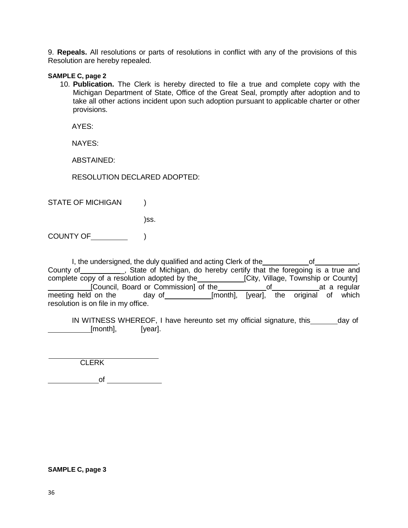9. **Repeals.** All resolutions or parts of resolutions in conflict with any of the provisions of this Resolution are hereby repealed.

#### **SAMPLE C, page 2**

10. **Publication.** The Clerk is hereby directed to file a true and complete copy with the Michigan Department of State, Office of the Great Seal, promptly after adoption and to take all other actions incident upon such adoption pursuant to applicable charter or other provisions.

AYES:

NAYES:

ABSTAINED:

RESOLUTION DECLARED ADOPTED:

STATE OF MICHIGAN )

)ss.

COUNTY OF )

I, the undersigned, the duly qualified and acting Clerk of the of  $\sim$ County of \_\_\_\_\_\_\_\_\_, State of Michigan, do hereby certify that the foregoing is a true and county of a resolution adopted by the [City, Village, Township or County] [Council, Board or Commission] of the of at a regular<br>meeting held on the day of [month], [year], the original of which day of **configure 1** [month], [year], the original of which resolution is on file in my office.

IN WITNESS WHEREOF, I have hereunto set my official signature, this \_\_\_\_\_\_ day of [month], [year].

**CLERK** 

of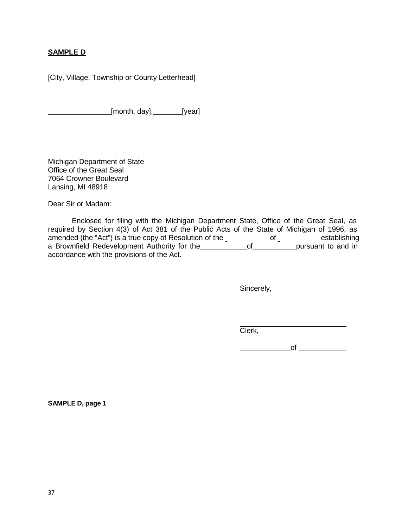# **SAMPLE D**

[City, Village, Township or County Letterhead]

[month, day], [year]

Michigan Department of State Office of the Great Seal 7064 Crowner Boulevard Lansing, MI 48918

Dear Sir or Madam:

Enclosed for filing with the Michigan Department State, Office of the Great Seal, as required by Section 4(3) of Act 381 of the Public Acts of the State of Michigan of 1996, as amended (the "Act") is a true copy of Resolution of the state of establishing a Brownfield Redevelopment Authority for the **contact of the pursuant to and in** accordance with the provisions of the Act.

Sincerely,

Clerk,

 $\overline{\phantom{a}}$  of  $\overline{\phantom{a}}$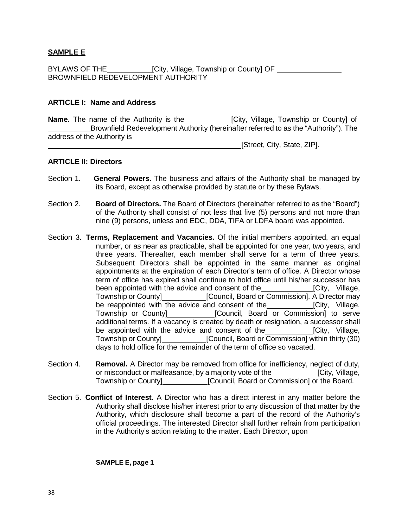# **SAMPLE E**

BYLAWS OF THE\_\_\_\_\_\_\_\_\_\_\_\_\_[City, Village, Township or County] OF \_\_\_\_\_\_\_\_\_\_ BROWNFIELD REDEVELOPMENT AUTHORITY

#### **ARTICLE I: Name and Address**

**Name.** The name of the Authority is the **[City, Village, Township or County] of** Brownfield Redevelopment Authority (hereinafter referred to as the "Authority"). The address of the Authority is

[Street, City, State, ZIP].

# **ARTICLE II: Directors**

- Section 1. **General Powers.** The business and affairs of the Authority shall be managed by its Board, except as otherwise provided by statute or by these Bylaws.
- Section 2. **Board of Directors.** The Board of Directors (hereinafter referred to as the "Board") of the Authority shall consist of not less that five (5) persons and not more than nine (9) persons, unless and EDC, DDA, TIFA or LDFA board was appointed.
- Section 3. **Terms, Replacement and Vacancies.** Of the initial members appointed, an equal number, or as near as practicable, shall be appointed for one year, two years, and three years. Thereafter, each member shall serve for a term of three years. Subsequent Directors shall be appointed in the same manner as original appointments at the expiration of each Director's term of office. A Director whose term of office has expired shall continue to hold office until his/her successor has been appointed with the advice and consent of the **[City, Village,** ] Township or County]\_\_\_\_\_\_\_\_\_\_\_\_\_\_\_[Council, Board or Commission]. A Director may be reappointed with the advice and consent of the **[City, Village,** Township or County] [Council, Board or Commission] to serve additional terms. If a vacancy is created by death or resignation, a successor shall be appointed with the advice and consent of the **[City, Village,** Township or County] [Council, Board or Commission] within thirty (30) days to hold office for the remainder of the term of office so vacated.
- Section 4. **Removal.** A Director may be removed from office for inefficiency, neglect of duty, or misconduct or malfeasance, by a majority vote of the [City, Village, Township or County] [Council, Board or Commission] or the Board.
- Section 5. **Conflict of Interest.** A Director who has a direct interest in any matter before the Authority shall disclose his/her interest prior to any discussion of that matter by the Authority, which disclosure shall become a part of the record of the Authority's official proceedings. The interested Director shall further refrain from participation in the Authority's action relating to the matter. Each Director, upon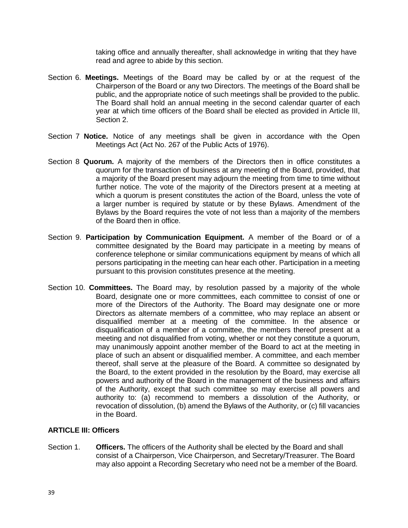taking office and annually thereafter, shall acknowledge in writing that they have read and agree to abide by this section.

- Section 6. **Meetings.** Meetings of the Board may be called by or at the request of the Chairperson of the Board or any two Directors. The meetings of the Board shall be public, and the appropriate notice of such meetings shall be provided to the public. The Board shall hold an annual meeting in the second calendar quarter of each year at which time officers of the Board shall be elected as provided in Article III, Section 2.
- Section 7 **Notice.** Notice of any meetings shall be given in accordance with the Open Meetings Act (Act No. 267 of the Public Acts of 1976).
- Section 8 **Quorum.** A majority of the members of the Directors then in office constitutes a quorum for the transaction of business at any meeting of the Board, provided, that a majority of the Board present may adjourn the meeting from time to time without further notice. The vote of the majority of the Directors present at a meeting at which a quorum is present constitutes the action of the Board, unless the vote of a larger number is required by statute or by these Bylaws. Amendment of the Bylaws by the Board requires the vote of not less than a majority of the members of the Board then in office.
- Section 9. **Participation by Communication Equipment.** A member of the Board or of a committee designated by the Board may participate in a meeting by means of conference telephone or similar communications equipment by means of which all persons participating in the meeting can hear each other. Participation in a meeting pursuant to this provision constitutes presence at the meeting.
- Section 10. **Committees.** The Board may, by resolution passed by a majority of the whole Board, designate one or more committees, each committee to consist of one or more of the Directors of the Authority. The Board may designate one or more Directors as alternate members of a committee, who may replace an absent or disqualified member at a meeting of the committee. In the absence or disqualification of a member of a committee, the members thereof present at a meeting and not disqualified from voting, whether or not they constitute a quorum, may unanimously appoint another member of the Board to act at the meeting in place of such an absent or disqualified member. A committee, and each member thereof, shall serve at the pleasure of the Board. A committee so designated by the Board, to the extent provided in the resolution by the Board, may exercise all powers and authority of the Board in the management of the business and affairs of the Authority, except that such committee so may exercise all powers and authority to: (a) recommend to members a dissolution of the Authority, or revocation of dissolution, (b) amend the Bylaws of the Authority, or (c) fill vacancies in the Board.

# **ARTICLE III: Officers**

Section 1. **Officers.** The officers of the Authority shall be elected by the Board and shall consist of a Chairperson, Vice Chairperson, and Secretary/Treasurer. The Board may also appoint a Recording Secretary who need not be a member of the Board.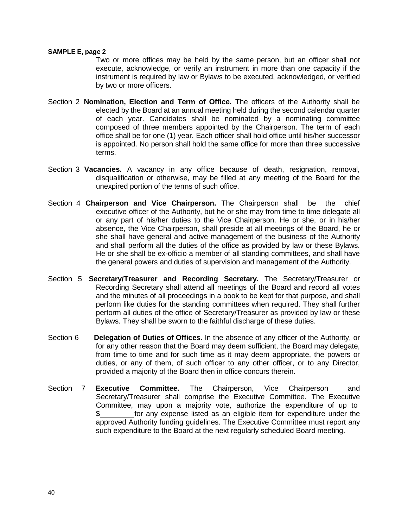#### **SAMPLE E, page 2**

Two or more offices may be held by the same person, but an officer shall not execute, acknowledge, or verify an instrument in more than one capacity if the instrument is required by law or Bylaws to be executed, acknowledged, or verified by two or more officers.

- Section 2 **Nomination, Election and Term of Office.** The officers of the Authority shall be elected by the Board at an annual meeting held during the second calendar quarter of each year. Candidates shall be nominated by a nominating committee composed of three members appointed by the Chairperson. The term of each office shall be for one (1) year. Each officer shall hold office until his/her successor is appointed. No person shall hold the same office for more than three successive terms.
- Section 3 **Vacancies.** A vacancy in any office because of death, resignation, removal, disqualification or otherwise, may be filled at any meeting of the Board for the unexpired portion of the terms of such office.
- Section 4 **Chairperson and Vice Chairperson.** The Chairperson shall be the chief executive officer of the Authority, but he or she may from time to time delegate all or any part of his/her duties to the Vice Chairperson. He or she, or in his/her absence, the Vice Chairperson, shall preside at all meetings of the Board, he or she shall have general and active management of the business of the Authority and shall perform all the duties of the office as provided by law or these Bylaws. He or she shall be ex-officio a member of all standing committees, and shall have the general powers and duties of supervision and management of the Authority.
- Section 5 **Secretary/Treasurer and Recording Secretary.** The Secretary/Treasurer or Recording Secretary shall attend all meetings of the Board and record all votes and the minutes of all proceedings in a book to be kept for that purpose, and shall perform like duties for the standing committees when required. They shall further perform all duties of the office of Secretary/Treasurer as provided by law or these Bylaws. They shall be sworn to the faithful discharge of these duties.
- Section 6 **Delegation of Duties of Offices.** In the absence of any officer of the Authority, or for any other reason that the Board may deem sufficient, the Board may delegate, from time to time and for such time as it may deem appropriate, the powers or duties, or any of them, of such officer to any other officer, or to any Director, provided a majority of the Board then in office concurs therein.
- Section 7 **Executive Committee.** The Chairperson, Vice Chairperson and Secretary/Treasurer shall comprise the Executive Committee. The Executive Committee, may upon a majority vote, authorize the expenditure of up to \$\_\_\_\_\_\_\_\_\_\_\_\_\_ for any expense listed as an eligible item for expenditure under the approved Authority funding guidelines. The Executive Committee must report any such expenditure to the Board at the next regularly scheduled Board meeting.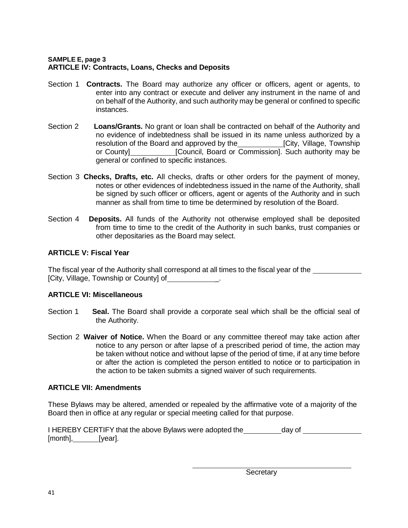# **SAMPLE E, page 3 ARTICLE IV: Contracts, Loans, Checks and Deposits**

- Section 1 **Contracts.** The Board may authorize any officer or officers, agent or agents, to enter into any contract or execute and deliver any instrument in the name of and on behalf of the Authority, and such authority may be general or confined to specific instances.
- Section 2 **Loans/Grants.** No grant or loan shall be contracted on behalf of the Authority and no evidence of indebtedness shall be issued in its name unless authorized by a resolution of the Board and approved by the **[City, Village, Township** or County] \_\_\_\_\_\_\_\_\_\_\_\_[Council, Board or Commission]. Such authority may be general or confined to specific instances.
- Section 3 **Checks, Drafts, etc.** All checks, drafts or other orders for the payment of money, notes or other evidences of indebtedness issued in the name of the Authority, shall be signed by such officer or officers, agent or agents of the Authority and in such manner as shall from time to time be determined by resolution of the Board.
- Section 4 **Deposits.** All funds of the Authority not otherwise employed shall be deposited from time to time to the credit of the Authority in such banks, trust companies or other depositaries as the Board may select.

# **ARTICLE V: Fiscal Year**

The fiscal year of the Authority shall correspond at all times to the fiscal year of the [City, Village, Township or County] of \_\_\_\_\_\_\_\_\_\_\_.

# **ARTICLE VI: Miscellaneous**

- Section 1 **Seal.** The Board shall provide a corporate seal which shall be the official seal of the Authority.
- Section 2 **Waiver of Notice.** When the Board or any committee thereof may take action after notice to any person or after lapse of a prescribed period of time, the action may be taken without notice and without lapse of the period of time, if at any time before or after the action is completed the person entitled to notice or to participation in the action to be taken submits a signed waiver of such requirements.

# **ARTICLE VII: Amendments**

These Bylaws may be altered, amended or repealed by the affirmative vote of a majority of the Board then in office at any regular or special meeting called for that purpose.

|                  | I HEREBY CERTIFY that the above Bylaws were adopted the | day of |  |
|------------------|---------------------------------------------------------|--------|--|
| [month], [year]. |                                                         |        |  |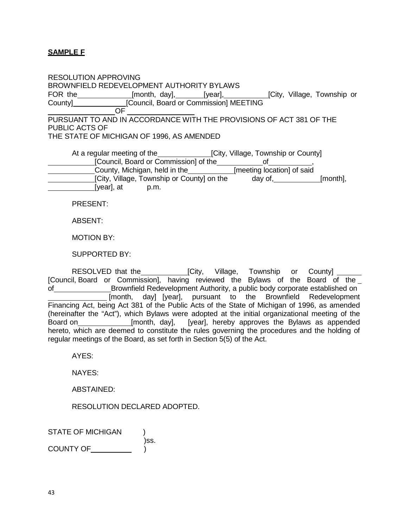# **SAMPLE F**

RESOLUTION APPROVING BROWNFIELD REDEVELOPMENT AUTHORITY BYLAWS FOR the \_\_\_\_\_\_\_\_\_\_\_\_\_[month, day], \_\_\_\_\_\_\_[year], \_\_\_\_\_\_\_\_\_\_\_[City, Village, Township or County] [Council, Board or Commission] MEETING OF PURSUANT TO AND IN ACCORDANCE WITH THE PROVISIONS OF ACT 381 OF THE PUBLIC ACTS OF THE STATE OF MICHIGAN OF 1996, AS AMENDED At a regular meeting of the **[City, Village, Township or County]** [Council, Board or Commission] of the **configuration**, County, Michigan, held in the\_etting location] of said [City, Village, Township or County] on the day of, [month], [year], at p.m. PRESENT:

ABSENT:

MOTION BY:

SUPPORTED BY:

RESOLVED that the \_\_\_\_\_\_\_\_\_\_\_\_\_\_[City, Village, Township or County] \_\_\_\_\_ [Council, Board or Commission], having reviewed the Bylaws of the Board of the of Brownfield Redevelopment Authority, a public body corporate established on [month, day] [year], pursuant to the Brownfield Redevelopment Financing Act, being Act 381 of the Public Acts of the State of Michigan of 1996, as amended (hereinafter the "Act"), which Bylaws were adopted at the initial organizational meeting of the Board on **[month, day],** [year], hereby approves the Bylaws as appended hereto, which are deemed to constitute the rules governing the procedures and the holding of regular meetings of the Board, as set forth in Section 5(5) of the Act.

AYES:

NAYES:

ABSTAINED:

RESOLUTION DECLARED ADOPTED.

STATE OF MICHIGAN ) )ss. COUNTY OF **EXECUTA**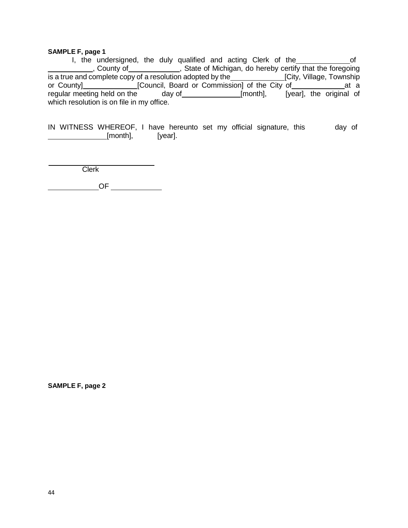#### **SAMPLE F, page 1**

I, the undersigned, the duly qualified and acting Clerk of the contract of , County of **construe times and State of Michigan**, do hereby certify that the foregoing is a true and complete copy of a resolution adopted by the\_\_\_\_\_\_\_\_\_\_\_\_\_\_\_[City, Village, Township or County]\_\_\_\_\_\_\_\_\_\_\_\_\_\_[Council, Board or Commission] of the City of\_\_\_\_\_\_\_\_\_\_\_\_\_\_at a regular meeting held on the day of [month], [year], the original of which resolution is on file in my office.

IN WITNESS WHEREOF, I have hereunto set my official signature, this day of **Example 2** [month], [year].

**Clerk** 

OF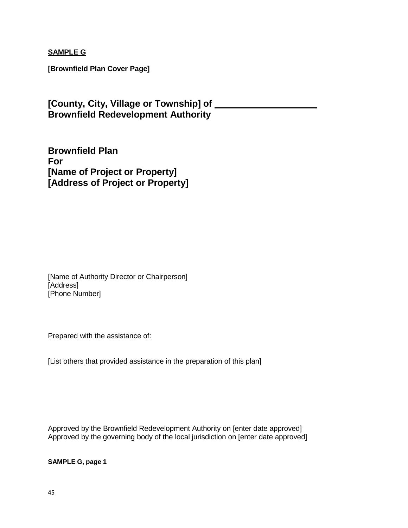**SAMPLE G**

**[Brownfield Plan Cover Page]**

**[County, City, Village or Township] of Brownfield Redevelopment Authority**

**Brownfield Plan For [Name of Project or Property] [Address of Project or Property]**

[Name of Authority Director or Chairperson] [Address] [Phone Number]

Prepared with the assistance of:

[List others that provided assistance in the preparation of this plan]

Approved by the Brownfield Redevelopment Authority on [enter date approved] Approved by the governing body of the local jurisdiction on [enter date approved]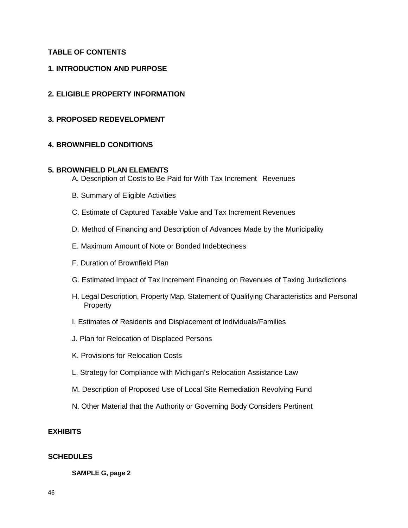# **TABLE OF CONTENTS**

### **1. INTRODUCTION AND PURPOSE**

### **2. ELIGIBLE PROPERTY INFORMATION**

**3. PROPOSED REDEVELOPMENT**

#### **4. BROWNFIELD CONDITIONS**

#### **5. BROWNFIELD PLAN ELEMENTS**

- A. Description of Costs to Be Paid for With Tax Increment Revenues
- B. Summary of Eligible Activities
- C. Estimate of Captured Taxable Value and Tax Increment Revenues
- D. Method of Financing and Description of Advances Made by the Municipality
- E. Maximum Amount of Note or Bonded Indebtedness
- F. Duration of Brownfield Plan
- G. Estimated Impact of Tax Increment Financing on Revenues of Taxing Jurisdictions
- H. Legal Description, Property Map, Statement of Qualifying Characteristics and Personal **Property**
- I. Estimates of Residents and Displacement of Individuals/Families
- J. Plan for Relocation of Displaced Persons
- K. Provisions for Relocation Costs
- L. Strategy for Compliance with Michigan's Relocation Assistance Law
- M. Description of Proposed Use of Local Site Remediation Revolving Fund
- N. Other Material that the Authority or Governing Body Considers Pertinent

#### **EXHIBITS**

#### **SCHEDULES**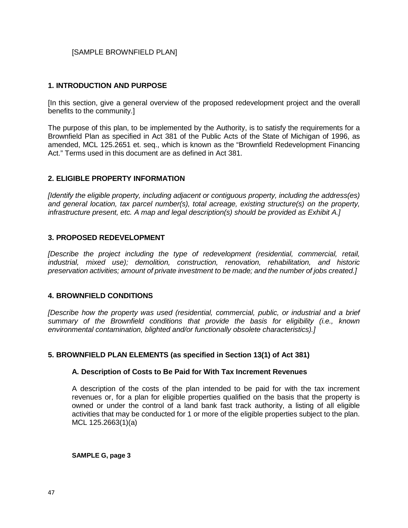# [SAMPLE BROWNFIELD PLAN]

### **1. INTRODUCTION AND PURPOSE**

[In this section, give a general overview of the proposed redevelopment project and the overall benefits to the community.]

The purpose of this plan, to be implemented by the Authority, is to satisfy the requirements for a Brownfield Plan as specified in Act 381 of the Public Acts of the State of Michigan of 1996, as amended, MCL 125.2651 et. seq., which is known as the "Brownfield Redevelopment Financing Act." Terms used in this document are as defined in Act 381.

### **2. ELIGIBLE PROPERTY INFORMATION**

*[Identify the eligible property, including adjacent or contiguous property, including the address(es) and general location, tax parcel number(s), total acreage, existing structure(s) on the property, infrastructure present, etc. A map and legal description(s) should be provided as Exhibit A.]*

### **3. PROPOSED REDEVELOPMENT**

*[Describe the project including the type of redevelopment (residential, commercial, retail, industrial, mixed use); demolition, construction, renovation, rehabilitation, and historic preservation activities; amount of private investment to be made; and the number of jobs created.]*

#### **4. BROWNFIELD CONDITIONS**

*[Describe how the property was used (residential, commercial, public, or industrial and a brief summary of the Brownfield conditions that provide the basis for eligibility (i.e., known environmental contamination, blighted and/or functionally obsolete characteristics).]*

# **5. BROWNFIELD PLAN ELEMENTS (as specified in Section 13(1) of Act 381)**

#### **A. Description of Costs to Be Paid for With Tax Increment Revenues**

A description of the costs of the plan intended to be paid for with the tax increment revenues or, for a plan for eligible properties qualified on the basis that the property is owned or under the control of a land bank fast track authority, a listing of all eligible activities that may be conducted for 1 or more of the eligible properties subject to the plan. MCL 125.2663(1)(a)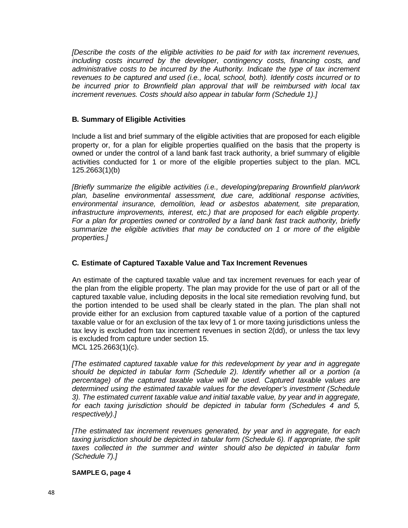*[Describe the costs of the eligible activities to be paid for with tax increment revenues, including costs incurred by the developer, contingency costs, financing costs, and administrative costs to be incurred by the Authority. Indicate the type of tax increment revenues to be captured and used (i.e., local, school, both). Identify costs incurred or to be incurred prior to Brownfield plan approval that will be reimbursed with local tax increment revenues. Costs should also appear in tabular form (Schedule 1).]*

# **B. Summary of Eligible Activities**

Include a list and brief summary of the eligible activities that are proposed for each eligible property or, for a plan for eligible properties qualified on the basis that the property is owned or under the control of a land bank fast track authority, a brief summary of eligible activities conducted for 1 or more of the eligible properties subject to the plan. MCL 125.2663(1)(b)

*[Briefly summarize the eligible activities (i.e., developing/preparing Brownfield plan/work plan, baseline environmental assessment, due care, additional response activities, environmental insurance, demolition, lead or asbestos abatement, site preparation, infrastructure improvements, interest, etc.) that are proposed for each eligible property. For a plan for properties owned or controlled by a land bank fast track authority, briefly summarize the eligible activities that may be conducted on 1 or more of the eligible properties.]*

# **C. Estimate of Captured Taxable Value and Tax Increment Revenues**

An estimate of the captured taxable value and tax increment revenues for each year of the plan from the eligible property. The plan may provide for the use of part or all of the captured taxable value, including deposits in the local site remediation revolving fund, but the portion intended to be used shall be clearly stated in the plan. The plan shall not provide either for an exclusion from captured taxable value of a portion of the captured taxable value or for an exclusion of the tax levy of 1 or more taxing jurisdictions unless the tax levy is excluded from tax increment revenues in section 2(dd), or unless the tax levy is excluded from capture under section 15. MCL 125.2663(1)(c).

*[The estimated captured taxable value for this redevelopment by year and in aggregate should be depicted in tabular form (Schedule 2). Identify whether all or a portion (a percentage) of the captured taxable value will be used. Captured taxable values are determined using the estimated taxable values for the developer's investment (Schedule 3). The estimated current taxable value and initial taxable value, by year and in aggregate, for each taxing jurisdiction should be depicted in tabular form (Schedules 4 and 5, respectively).]*

*[The estimated tax increment revenues generated, by year and in aggregate, for each taxing jurisdiction should be depicted in tabular form (Schedule 6). If appropriate, the split taxes collected in the summer and winter should also be depicted in tabular form (Schedule 7).]*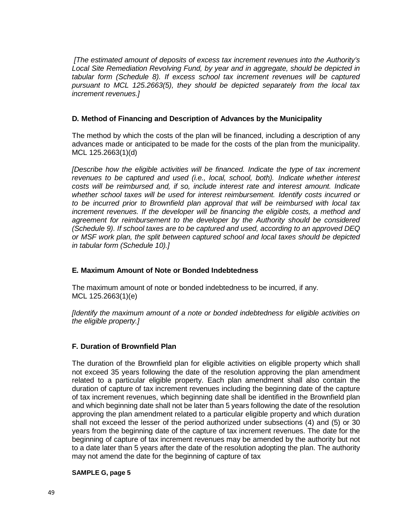*[The estimated amount of deposits of excess tax increment revenues into the Authority's Local Site Remediation Revolving Fund, by year and in aggregate, should be depicted in tabular form (Schedule 8). If excess school tax increment revenues will be captured pursuant to MCL 125.2663(5), they should be depicted separately from the local tax increment revenues.]*

# **D. Method of Financing and Description of Advances by the Municipality**

The method by which the costs of the plan will be financed, including a description of any advances made or anticipated to be made for the costs of the plan from the municipality. MCL 125.2663(1)(d)

*[Describe how the eligible activities will be financed. Indicate the type of tax increment revenues to be captured and used (i.e., local, school, both). Indicate whether interest costs will be reimbursed and, if so, include interest rate and interest amount. Indicate whether school taxes will be used for interest reimbursement. Identify costs incurred or to be incurred prior to Brownfield plan approval that will be reimbursed with local tax increment revenues. If the developer will be financing the eligible costs, a method and agreement for reimbursement to the developer by the Authority should be considered (Schedule 9). If school taxes are to be captured and used, according to an approved DEQ or MSF work plan, the split between captured school and local taxes should be depicted in tabular form (Schedule 10).]*

# **E. Maximum Amount of Note or Bonded Indebtedness**

The maximum amount of note or bonded indebtedness to be incurred, if any. MCL 125.2663(1)(e)

*[Identify the maximum amount of a note or bonded indebtedness for eligible activities on the eligible property.]*

# **F. Duration of Brownfield Plan**

The duration of the Brownfield plan for eligible activities on eligible property which shall not exceed 35 years following the date of the resolution approving the plan amendment related to a particular eligible property. Each plan amendment shall also contain the duration of capture of tax increment revenues including the beginning date of the capture of tax increment revenues, which beginning date shall be identified in the Brownfield plan and which beginning date shall not be later than 5 years following the date of the resolution approving the plan amendment related to a particular eligible property and which duration shall not exceed the lesser of the period authorized under subsections (4) and (5) or 30 years from the beginning date of the capture of tax increment revenues. The date for the beginning of capture of tax increment revenues may be amended by the authority but not to a date later than 5 years after the date of the resolution adopting the plan. The authority may not amend the date for the beginning of capture of tax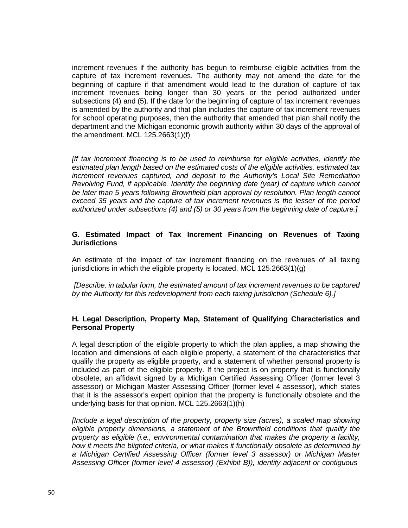increment revenues if the authority has begun to reimburse eligible activities from the capture of tax increment revenues. The authority may not amend the date for the beginning of capture if that amendment would lead to the duration of capture of tax increment revenues being longer than 30 years or the period authorized under subsections (4) and (5). If the date for the beginning of capture of tax increment revenues is amended by the authority and that plan includes the capture of tax increment revenues for school operating purposes, then the authority that amended that plan shall notify the department and the Michigan economic growth authority within 30 days of the approval of the amendment. MCL 125.2663(1)(f)

*[If tax increment financing is to be used to reimburse for eligible activities, identify the estimated plan length based on the estimated costs of the eligible activities, estimated tax increment revenues captured, and deposit to the Authority's Local Site Remediation Revolving Fund, if applicable. Identify the beginning date (year) of capture which cannot be later than 5 years following Brownfield plan approval by resolution. Plan length cannot exceed 35 years and the capture of tax increment revenues is the lesser of the period authorized under subsections (4) and (5) or 30 years from the beginning date of capture.]*

### **G. Estimated Impact of Tax Increment Financing on Revenues of Taxing Jurisdictions**

An estimate of the impact of tax increment financing on the revenues of all taxing jurisdictions in which the eligible property is located. MCL 125.2663(1)(g)

*[Describe, in tabular form, the estimated amount of tax increment revenues to be captured by the Authority for this redevelopment from each taxing jurisdiction (Schedule 6).]*

### **H. Legal Description, Property Map, Statement of Qualifying Characteristics and Personal Property**

A legal description of the eligible property to which the plan applies, a map showing the location and dimensions of each eligible property, a statement of the characteristics that qualify the property as eligible property, and a statement of whether personal property is included as part of the eligible property. If the project is on property that is functionally obsolete, an affidavit signed by a Michigan Certified Assessing Officer (former level 3 assessor) or Michigan Master Assessing Officer (former level 4 assessor), which states that it is the assessor's expert opinion that the property is functionally obsolete and the underlying basis for that opinion. MCL 125.2663(1)(h)

*[Include a legal description of the property, property size (acres), a scaled map showing eligible property dimensions, a statement of the Brownfield conditions that qualify the property as eligible (i.e., environmental contamination that makes the property a facility, how it meets the blighted criteria, or what makes it functionally obsolete as determined by a Michigan Certified Assessing Officer (former level 3 assessor) or Michigan Master Assessing Officer (former level 4 assessor) (Exhibit B)), identify adjacent or contiguous*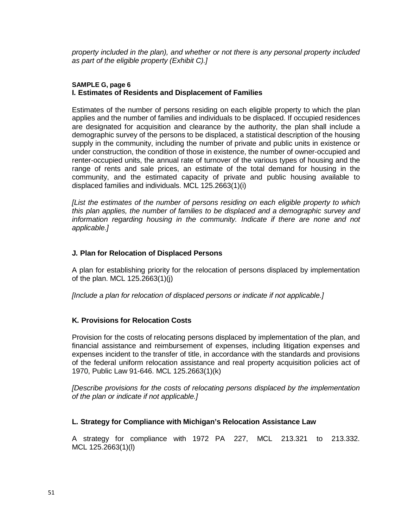*property included in the plan), and whether or not there is any personal property included as part of the eligible property (Exhibit C).]*

### **SAMPLE G, page 6 I. Estimates of Residents and Displacement of Families**

Estimates of the number of persons residing on each eligible property to which the plan applies and the number of families and individuals to be displaced. If occupied residences are designated for acquisition and clearance by the authority, the plan shall include a demographic survey of the persons to be displaced, a statistical description of the housing supply in the community, including the number of private and public units in existence or under construction, the condition of those in existence, the number of owner-occupied and renter-occupied units, the annual rate of turnover of the various types of housing and the range of rents and sale prices, an estimate of the total demand for housing in the community, and the estimated capacity of private and public housing available to displaced families and individuals. MCL 125.2663(1)(i)

*[List the estimates of the number of persons residing on each eligible property to which this plan applies, the number of families to be displaced and a demographic survey and information regarding housing in the community. Indicate if there are none and not applicable.]*

# **J. Plan for Relocation of Displaced Persons**

A plan for establishing priority for the relocation of persons displaced by implementation of the plan. MCL 125.2663(1)(j)

*[Include a plan for relocation of displaced persons or indicate if not applicable.]*

# **K. Provisions for Relocation Costs**

Provision for the costs of relocating persons displaced by implementation of the plan, and financial assistance and reimbursement of expenses, including litigation expenses and expenses incident to the transfer of title, in accordance with the standards and provisions of the federal uniform relocation assistance and real property acquisition policies act of 1970, Public Law 91-646. MCL 125.2663(1)(k)

*[Describe provisions for the costs of relocating persons displaced by the implementation of the plan or indicate if not applicable.]*

# **L. Strategy for Compliance with Michigan's Relocation Assistance Law**

A strategy for compliance with 1972 PA 227, MCL 213.321 to 213.332. MCL 125.2663(1)(l)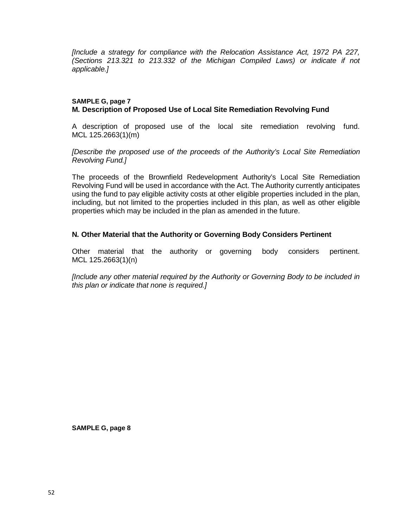*[Include a strategy for compliance with the Relocation Assistance Act, 1972 PA 227, (Sections 213.321 to 213.332 of the Michigan Compiled Laws) or indicate if not applicable.]*

#### **SAMPLE G, page 7 M. Description of Proposed Use of Local Site Remediation Revolving Fund**

A description of proposed use of the local site remediation revolving fund. MCL 125.2663(1)(m)

*[Describe the proposed use of the proceeds of the Authority's Local Site Remediation Revolving Fund.]*

The proceeds of the Brownfield Redevelopment Authority's Local Site Remediation Revolving Fund will be used in accordance with the Act. The Authority currently anticipates using the fund to pay eligible activity costs at other eligible properties included in the plan, including, but not limited to the properties included in this plan, as well as other eligible properties which may be included in the plan as amended in the future.

### **N. Other Material that the Authority or Governing Body Considers Pertinent**

Other material that the authority or governing body considers pertinent. MCL 125.2663(1)(n)

*[Include any other material required by the Authority or Governing Body to be included in this plan or indicate that none is required.]*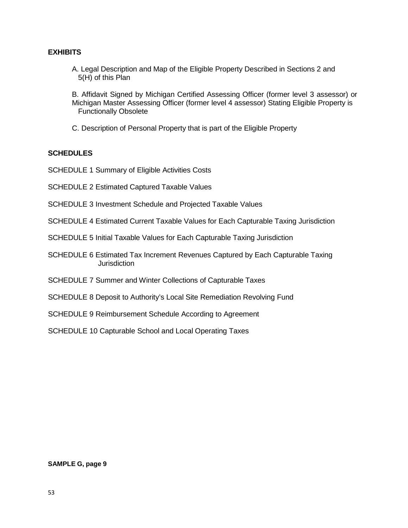# **EXHIBITS**

A. Legal Description and Map of the Eligible Property Described in Sections 2 and 5(H) of this Plan

B. Affidavit Signed by Michigan Certified Assessing Officer (former level 3 assessor) or Michigan Master Assessing Officer (former level 4 assessor) Stating Eligible Property is Functionally Obsolete

C. Description of Personal Property that is part of the Eligible Property

# **SCHEDULES**

SCHEDULE 1 Summary of Eligible Activities Costs

SCHEDULE 2 Estimated Captured Taxable Values

- SCHEDULE 3 Investment Schedule and Projected Taxable Values
- SCHEDULE 4 Estimated Current Taxable Values for Each Capturable Taxing Jurisdiction
- SCHEDULE 5 Initial Taxable Values for Each Capturable Taxing Jurisdiction
- SCHEDULE 6 Estimated Tax Increment Revenues Captured by Each Capturable Taxing **Jurisdiction**
- SCHEDULE 7 Summer and Winter Collections of Capturable Taxes
- SCHEDULE 8 Deposit to Authority's Local Site Remediation Revolving Fund
- SCHEDULE 9 Reimbursement Schedule According to Agreement

SCHEDULE 10 Capturable School and Local Operating Taxes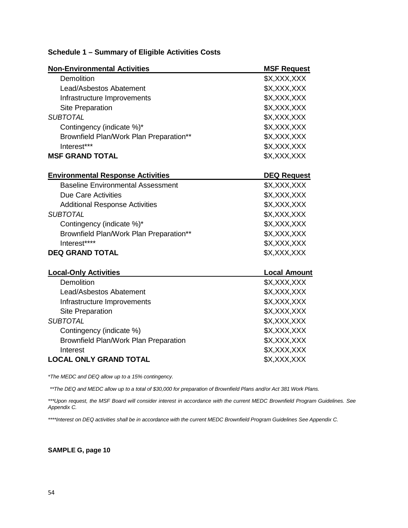| <b>Non-Environmental Activities</b>      | <b>MSF Request</b>  |
|------------------------------------------|---------------------|
| Demolition                               | \$X,XXX,XXX         |
| Lead/Asbestos Abatement                  | \$X,XXX,XXX         |
| Infrastructure Improvements              | \$X,XXX,XXX         |
| <b>Site Preparation</b>                  | \$X,XXX,XXX         |
| <b>SUBTOTAL</b>                          | \$X,XXX,XXX         |
| Contingency (indicate %)*                | \$X,XXX,XXX         |
| Brownfield Plan/Work Plan Preparation**  | \$X,XXX,XXX         |
| Interest***                              | \$X,XXX,XXX         |
| <b>MSF GRAND TOTAL</b>                   | \$X,XXX,XXX         |
| <b>Environmental Response Activities</b> | <b>DEQ Request</b>  |
| <b>Baseline Environmental Assessment</b> | \$X,XXX,XXX         |
| <b>Due Care Activities</b>               | \$X,XXX,XXX         |
| <b>Additional Response Activities</b>    | \$X,XXX,XXX         |
| <b>SUBTOTAL</b>                          | \$X,XXX,XXX         |
| Contingency (indicate %)*                | \$X,XXX,XXX         |
| Brownfield Plan/Work Plan Preparation**  | \$X,XXX,XXX         |
| Interest****                             | \$X,XXX,XXX         |
| <b>DEQ GRAND TOTAL</b>                   | \$X,XXX,XXX         |
| <b>Local-Only Activities</b>             | <b>Local Amount</b> |
| Demolition                               | \$X,XXX,XXX         |
| Lead/Asbestos Abatement                  | \$X,XXX,XXX         |
| Infrastructure Improvements              | \$X,XXX,XXX         |
| <b>Site Preparation</b>                  | \$X,XXX,XXX         |
| <b>SUBTOTAL</b>                          | \$X,XXX,XXX         |
| Contingency (indicate %)                 | \$X,XXX,XXX         |
| Brownfield Plan/Work Plan Preparation    | \$X,XXX,XXX         |
| Interest                                 | \$X,XXX,XXX         |
| <b>LOCAL ONLY GRAND TOTAL</b>            | \$X,XXX,XXX         |

# **Schedule 1 – Summary of Eligible Activities Costs**

*\*The MEDC and DEQ allow up to a 15% contingency.*

\*\* The DEQ and MEDC allow up to a total of \$30,000 for preparation of Brownfield Plans and/or Act 381 Work Plans.

\*\*\*Upon request, the MSF Board will consider interest in accordance with the current MEDC Brownfield Program Guidelines. See *Appendix C.*

*\*\*\*\*Interest on DEQ activities shall be in accordance with the current MEDC Brownfield Program Guidelines See Appendix C.*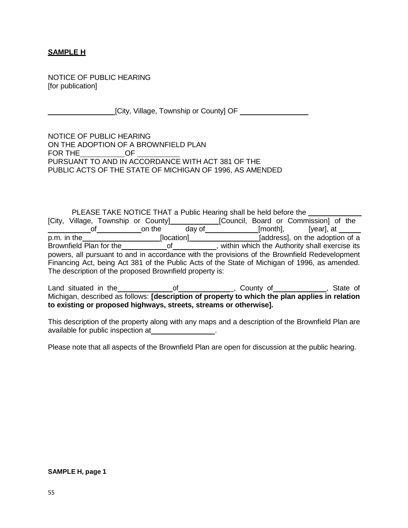# **SAMPLE H**

NOTICE OF PUBLIC HEARING [for publication]

[City, Village, Township or County] OF

NOTICE OF PUBLIC HEARING ON THE ADOPTION OF A BROWNFIELD PLAN FOR THE OF PURSUANT TO AND IN ACCORDANCE WITH ACT 381 OF THE PUBLIC ACTS OF THE STATE OF MICHIGAN OF 1996, AS AMENDED

PLEASE TAKE NOTICE THAT a Public Hearing shall be held before the [City, Village, Township or County]\_\_\_\_\_\_\_\_\_\_\_\_\_[Council, Board or Commission] of the of\_\_\_\_\_\_\_\_\_\_\_\_\_on the day of\_\_\_\_\_\_\_\_\_\_\_\_\_\_[month], [year], at \_ p.m. in the [location] [address], on the adoption of a Brownfield Plan for the of of , within which the Authority shall exercise its powers, all pursuant to and in accordance with the provisions of the Brownfield Redevelopment Financing Act, being Act 381 of the Public Acts of the State of Michigan of 1996, as amended. The description of the proposed Brownfield property is:

Land situated in the \_\_\_\_\_\_\_\_\_\_\_\_\_\_\_\_of\_\_\_\_\_\_\_\_\_\_\_\_\_\_\_, County of \_\_\_\_\_\_\_\_\_\_\_\_\_, State of Michigan, described as follows: **[description of property to which the plan applies in relation to existing or proposed highways, streets, streams or otherwise].**

This description of the property along with any maps and a description of the Brownfield Plan are available for public inspection at

Please note that all aspects of the Brownfield Plan are open for discussion at the public hearing.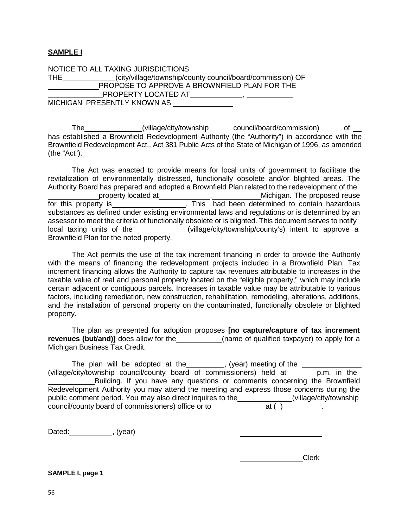# **SAMPLE I**

NOTICE TO ALL TAXING JURISDICTIONS THE (city/village/township/county council/board/commission) OF PROPOSE TO APPROVE A BROWNFIELD PLAN FOR THE PROPERTY LOCATED AT PROPERTY LOCATED AT A strategy of the strategy of the strategy of the strategy of the strategy of the strategy of the strategy of the strategy of the strategy of the strategy of the strategy of the stra MICHIGAN PRESENTLY KNOWN AS

The (village/city/township council/board/commission) of has established a Brownfield Redevelopment Authority (the "Authority") in accordance with the Brownfield Redevelopment Act., Act 381 Public Acts of the State of Michigan of 1996, as amended (the "Act").

The Act was enacted to provide means for local units of government to facilitate the revitalization of environmentally distressed, functionally obsolete and/or blighted areas. The Authority Board has prepared and adopted a Brownfield Plan related to the redevelopment of the property located at \_\_\_\_\_\_\_\_\_\_\_\_\_\_\_, \_\_\_\_\_\_\_\_\_\_\_\_Michigan. The proposed reuse for this property is\_\_\_\_\_\_\_\_\_\_\_\_\_\_\_\_\_\_\_\_. This had been determined to contain hazardous substances as defined under existing environmental laws and regulations or is determined by an assessor to meet the criteria of functionally obsolete or is blighted. This document serves to notify local taxing units of the Brownfield Plan for the noted property. (village/city/township/county's) intent to approve a

The Act permits the use of the tax increment financing in order to provide the Authority with the means of financing the redevelopment projects included in a Brownfield Plan. Tax increment financing allows the Authority to capture tax revenues attributable to increases in the taxable value of real and personal property located on the "eligible property," which may include certain adjacent or contiguous parcels. Increases in taxable value may be attributable to various factors, including remediation, new construction, rehabilitation, remodeling, alterations, additions, and the installation of personal property on the contaminated, functionally obsolete or blighted property.

The plan as presented for adoption proposes **[no capture/capture of tax increment revenues (but/and)]** does allow for the \_\_\_\_\_\_\_\_\_\_\_(name of qualified taxpayer) to apply for a Michigan Business Tax Credit.

The plan will be adopted at the \_\_\_\_\_\_\_\_, (year) meeting of the \_\_\_\_\_\_\_ (village/city/township council/county board of commissioners) held at p.m. in the Building. If you have any questions or comments concerning the Brownfield Redevelopment Authority you may attend the meeting and express those concerns during the public comment period. You may also direct inquires to the \_\_\_\_\_\_\_\_\_\_\_\_\_\_(village/city/township council/county board of commissioners) office or to  $a$  at ( )  $a$ 

Dated: (year)

**Clerk** Clerk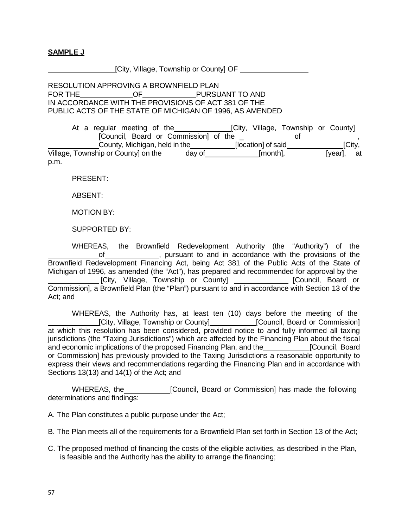# **SAMPLE J**

[City, Village, Township or County] OF

RESOLUTION APPROVING A BROWNFIELD PLAN FOR THE OF PURSUANT TO AND IN ACCORDANCE WITH THE PROVISIONS OF ACT 381 OF THE PUBLIC ACTS OF THE STATE OF MICHIGAN OF 1996, AS AMENDED

| At a regular meeting of the           |        |                    | [City, Village, Township or County] |            |  |
|---------------------------------------|--------|--------------------|-------------------------------------|------------|--|
| [Council, Board or Commission] of the |        |                    |                                     |            |  |
| County, Michigan, held in the         |        | [location] of said |                                     | [City,     |  |
| Village, Township or County on the    | day of | [month],           |                                     | [year], at |  |
| p.m.                                  |        |                    |                                     |            |  |

PRESENT:

ABSENT:

MOTION BY:

SUPPORTED BY:

WHEREAS, the Brownfield Redevelopment Authority (the "Authority") of the of , pursuant to and in accordance with the provisions of the Brownfield Redevelopment Financing Act, being Act 381 of the Public Acts of the State of Michigan of 1996, as amended (the "Act"), has prepared and recommended for approval by the [City, Village, Township or County] [Council, Board or Commission], a Brownfield Plan (the "Plan") pursuant to and in accordance with Section 13 of the Act; and

WHEREAS, the Authority has, at least ten (10) days before the meeting of the [City, Village, Township or County] [Council, Board or Commission] at which this resolution has been considered, provided notice to and fully informed all taxing jurisdictions (the "Taxing Jurisdictions") which are affected by the Financing Plan about the fiscal and economic implications of the proposed Financing Plan, and the [Council, Board or Commission] has previously provided to the Taxing Jurisdictions a reasonable opportunity to express their views and recommendations regarding the Financing Plan and in accordance with Sections 13(13) and 14(1) of the Act; and

WHEREAS, the **[Council, Board or Commission]** has made the following determinations and findings:

A. The Plan constitutes a public purpose under the Act;

- B. The Plan meets all of the requirements for a Brownfield Plan set forth in Section 13 of the Act;
- C. The proposed method of financing the costs of the eligible activities, as described in the Plan, is feasible and the Authority has the ability to arrange the financing;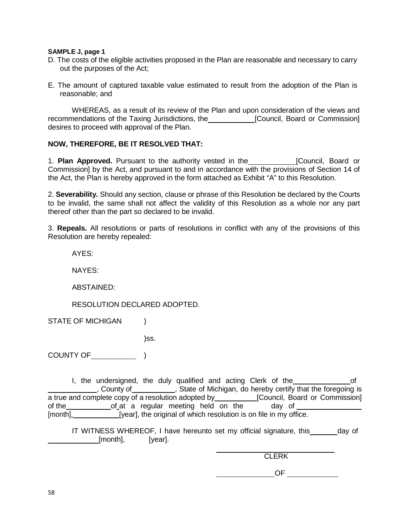# **SAMPLE J, page 1**

- D. The costs of the eligible activities proposed in the Plan are reasonable and necessary to carry out the purposes of the Act;
- E. The amount of captured taxable value estimated to result from the adoption of the Plan is reasonable; and

WHEREAS, as a result of its review of the Plan and upon consideration of the views and recommendations of the Taxing Jurisdictions, the [Council, Board or Commission] desires to proceed with approval of the Plan.

#### **NOW, THEREFORE, BE IT RESOLVED THAT:**

1. **Plan Approved.** Pursuant to the authority vested in the **[Council**, Board or Commission] by the Act, and pursuant to and in accordance with the provisions of Section 14 of the Act, the Plan is hereby approved in the form attached as Exhibit "A" to this Resolution.

2. **Severability.** Should any section, clause or phrase of this Resolution be declared by the Courts to be invalid, the same shall not affect the validity of this Resolution as a whole nor any part thereof other than the part so declared to be invalid.

3. **Repeals.** All resolutions or parts of resolutions in conflict with any of the provisions of this Resolution are hereby repealed:

AYES:

NAYES:

ABSTAINED:

RESOLUTION DECLARED ADOPTED.

STATE OF MICHIGAN )

)ss.

COUNTY OF )

I, the undersigned, the duly qualified and acting Clerk of the order of County of **county of the state of Michigan**, do hereby certify that the foregoing is a true and complete copy of a resolution adopted by \_\_\_\_\_\_\_\_\_\_\_[Council, Board or Commission] of the <u>stace of at</u> a regular meeting held on the stack of [month], [year], the original of which resolution is on file in my office.

IT WITNESS WHEREOF, I have hereunto set my official signature, this \_\_\_\_\_\_ day of [month], [year].

**CLERK** 

**OF OF**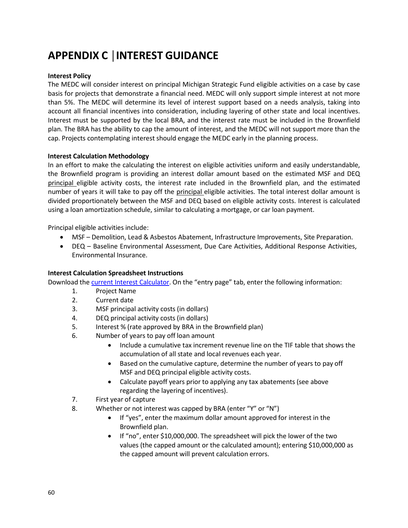# **APPENDIX C │INTEREST GUIDANCE**

### **Interest Policy**

The MEDC will consider interest on principal Michigan Strategic Fund eligible activities on a case by case basis for projects that demonstrate a financial need. MEDC will only support simple interest at not more than 5%. The MEDC will determine its level of interest support based on a needs analysis, taking into account all financial incentives into consideration, including layering of other state and local incentives. Interest must be supported by the local BRA, and the interest rate must be included in the Brownfield plan. The BRA has the ability to cap the amount of interest, and the MEDC will not support more than the cap. Projects contemplating interest should engage the MEDC early in the planning process.

#### **Interest Calculation Methodology**

In an effort to make the calculating the interest on eligible activities uniform and easily understandable, the Brownfield program is providing an interest dollar amount based on the estimated MSF and DEQ principal eligible activity costs, the interest rate included in the Brownfield plan, and the estimated number of years it will take to pay off the principal eligible activities. The total interest dollar amount is divided proportionately between the MSF and DEQ based on eligible activity costs. Interest is calculated using a loan amortization schedule, similar to calculating a mortgage, or car loan payment.

Principal eligible activities include:

- MSF Demolition, Lead & Asbestos Abatement, Infrastructure Improvements, Site Preparation.
- DEQ Baseline Environmental Assessment, Due Care Activities, Additional Response Activities, Environmental Insurance.

#### **Interest Calculation Spreadsheet Instructions**

Download the current Interest [Calculator.](http://www.michiganbusiness.org/community/development-assistance/#brownfield) On the "entry page" tab, enter the following information:

- 1. Project Name
- 2. Current date
- 3. MSF principal activity costs (in dollars)
- 4. DEQ principal activity costs (in dollars)
- 5. Interest % (rate approved by BRA in the Brownfield plan)
- 6. Number of years to pay off loan amount
	- Include a cumulative tax increment revenue line on the TIF table that shows the accumulation of all state and local revenues each year.
	- Based on the cumulative capture, determine the number of years to pay off MSF and DEQ principal eligible activity costs.
	- Calculate payoff years prior to applying any tax abatements (see above regarding the layering of incentives).
- 7. First year of capture
- 8. Whether or not interest was capped by BRA (enter "Y" or "N")
	- If "yes", enter the maximum dollar amount approved for interest in the Brownfield plan.
	- If "no", enter \$10,000,000. The spreadsheet will pick the lower of the two values (the capped amount or the calculated amount); entering \$10,000,000 as the capped amount will prevent calculation errors.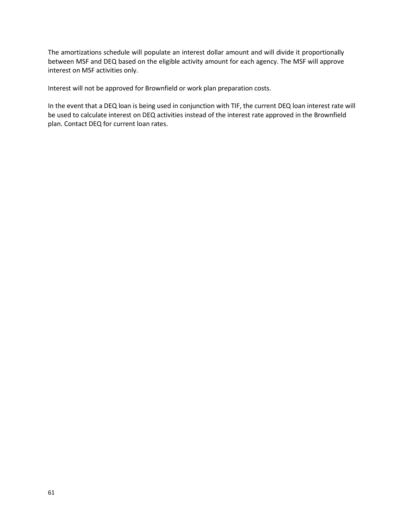The amortizations schedule will populate an interest dollar amount and will divide it proportionally between MSF and DEQ based on the eligible activity amount for each agency. The MSF will approve interest on MSF activities only.

Interest will not be approved for Brownfield or work plan preparation costs.

In the event that a DEQ loan is being used in conjunction with TIF, the current DEQ loan interest rate will be used to calculate interest on DEQ activities instead of the interest rate approved in the Brownfield plan. Contact DEQ for current loan rates.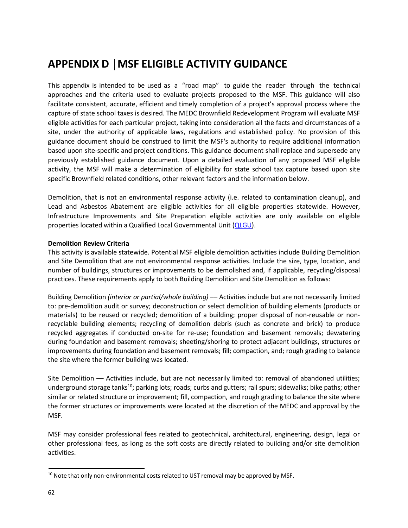# **APPENDIX D │MSF ELIGIBLE ACTIVITY GUIDANCE**

This appendix is intended to be used as a "road map" to guide the reader through the technical approaches and the criteria used to evaluate projects proposed to the MSF. This guidance will also facilitate consistent, accurate, efficient and timely completion of a project's approval process where the capture of state school taxes is desired. The MEDC Brownfield Redevelopment Program will evaluate MSF eligible activities for each particular project, taking into consideration all the facts and circumstances of a site, under the authority of applicable laws, regulations and established policy. No provision of this guidance document should be construed to limit the MSF's authority to require additional information based upon site-specific and project conditions. This guidance document shall replace and supersede any previously established guidance document. Upon a detailed evaluation of any proposed MSF eligible activity, the MSF will make a determination of eligibility for state school tax capture based upon site specific Brownfield related conditions, other relevant factors and the information below.

Demolition, that is not an environmental response activity (i.e. related to contamination cleanup), and Lead and Asbestos Abatement are eligible activities for all eligible properties statewide. However, Infrastructure Improvements and Site Preparation eligible activities are only available on eligible properties located within a Qualified Local Governmental Unit [\(QLGU\)](http://www.michiganbusiness.org/cm/files/Fact-Sheets/Core_communities.pdf).

#### **Demolition Review Criteria**

This activity is available statewide. Potential MSF eligible demolition activities include Building Demolition and Site Demolition that are not environmental response activities. Include the size, type, location, and number of buildings, structures or improvements to be demolished and, if applicable, recycling/disposal practices. These requirements apply to both Building Demolition and Site Demolition as follows:

Building Demolition *(interior or partial/whole building)* –– Activities include but are not necessarily limited to: pre-demolition audit or survey; deconstruction or select demolition of building elements (products or materials) to be reused or recycled; demolition of a building; proper disposal of non-reusable or nonrecyclable building elements; recycling of demolition debris (such as concrete and brick) to produce recycled aggregates if conducted on-site for re-use; foundation and basement removals; dewatering during foundation and basement removals; sheeting/shoring to protect adjacent buildings, structures or improvements during foundation and basement removals; fill; compaction, and; rough grading to balance the site where the former building was located.

Site Demolition –– Activities include, but are not necessarily limited to: removal of abandoned utilities; underground storage tanks<sup>10</sup>; parking lots; roads; curbs and gutters; rail spurs; sidewalks; bike paths; other similar or related structure or improvement; fill, compaction, and rough grading to balance the site where the former structures or improvements were located at the discretion of the MEDC and approval by the MSF.

MSF may consider professional fees related to geotechnical, architectural, engineering, design, legal or other professional fees, as long as the soft costs are directly related to building and/or site demolition activities.

 $10$  Note that only non-environmental costs related to UST removal may be approved by MSF.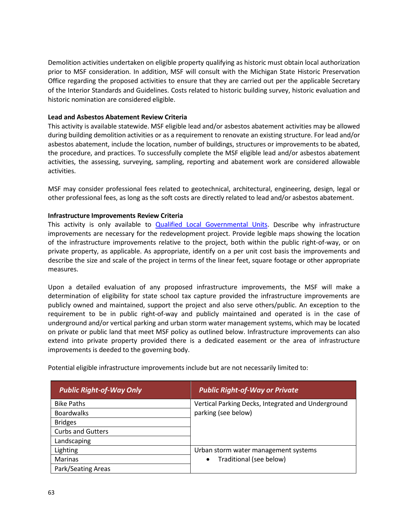Demolition activities undertaken on eligible property qualifying as historic must obtain local authorization prior to MSF consideration. In addition, MSF will consult with the Michigan State Historic Preservation Office regarding the proposed activities to ensure that they are carried out per the applicable Secretary of the Interior Standards and Guidelines. Costs related to historic building survey, historic evaluation and historic nomination are considered eligible.

#### **Lead and Asbestos Abatement Review Criteria**

This activity is available statewide. MSF eligible lead and/or asbestos abatement activities may be allowed during building demolition activities or as a requirement to renovate an existing structure. For lead and/or asbestos abatement, include the location, number of buildings, structures or improvements to be abated, the procedure, and practices. To successfully complete the MSF eligible lead and/or asbestos abatement activities, the assessing, surveying, sampling, reporting and abatement work are considered allowable activities.

MSF may consider professional fees related to geotechnical, architectural, engineering, design, legal or other professional fees, as long as the soft costs are directly related to lead and/or asbestos abatement.

### **Infrastructure Improvements Review Criteria**

This activity is only available to **Qualified Local [Governmental](http://www.michiganbusiness.org/cm/files/Fact-Sheets/Core_communities.pdf) Units**. Describe why infrastructure improvements are necessary for the redevelopment project. Provide legible maps showing the location of the infrastructure improvements relative to the project, both within the public right-of-way, or on private property, as applicable. As appropriate, identify on a per unit cost basis the improvements and describe the size and scale of the project in terms of the linear feet, square footage or other appropriate measures.

Upon a detailed evaluation of any proposed infrastructure improvements, the MSF will make a determination of eligibility for state school tax capture provided the infrastructure improvements are publicly owned and maintained, support the project and also serve others/public. An exception to the requirement to be in public right-of-way and publicly maintained and operated is in the case of underground and/or vertical parking and urban storm water management systems, which may be located on private or public land that meet MSF policy as outlined below. Infrastructure improvements can also extend into private property provided there is a dedicated easement or the area of infrastructure improvements is deeded to the governing body.

| Potential eligible infrastructure improvements include but are not necessarily limited to: |  |  |  |
|--------------------------------------------------------------------------------------------|--|--|--|
|                                                                                            |  |  |  |

| <b>Public Right-of-Way Only</b> | <b>Public Right-of-Way or Private</b>              |
|---------------------------------|----------------------------------------------------|
| <b>Bike Paths</b>               | Vertical Parking Decks, Integrated and Underground |
| <b>Boardwalks</b>               | parking (see below)                                |
| <b>Bridges</b>                  |                                                    |
| <b>Curbs and Gutters</b>        |                                                    |
| Landscaping                     |                                                    |
| Lighting                        | Urban storm water management systems               |
| Marinas                         | Traditional (see below)<br>$\bullet$               |
| Park/Seating Areas              |                                                    |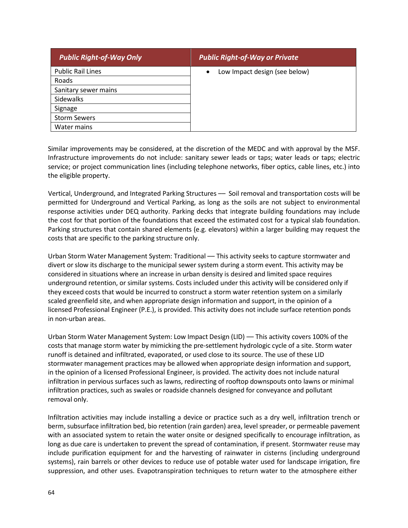| <b>Public Right-of-Way Only</b> | <b>Public Right-of-Way or Private</b>      |
|---------------------------------|--------------------------------------------|
| <b>Public Rail Lines</b>        | Low Impact design (see below)<br>$\bullet$ |
| Roads                           |                                            |
| Sanitary sewer mains            |                                            |
| Sidewalks                       |                                            |
| Signage                         |                                            |
| <b>Storm Sewers</b>             |                                            |
| Water mains                     |                                            |

Similar improvements may be considered, at the discretion of the MEDC and with approval by the MSF. Infrastructure improvements do not include: sanitary sewer leads or taps; water leads or taps; electric service; or project communication lines (including telephone networks, fiber optics, cable lines, etc.) into the eligible property.

Vertical, Underground, and Integrated Parking Structures - Soil removal and transportation costs will be permitted for Underground and Vertical Parking, as long as the soils are not subject to environmental response activities under DEQ authority. Parking decks that integrate building foundations may include the cost for that portion of the foundations that exceed the estimated cost for a typical slab foundation. Parking structures that contain shared elements (e.g. elevators) within a larger building may request the costs that are specific to the parking structure only.

Urban Storm Water Management System: Traditional –– This activity seeks to capture stormwater and divert or slow its discharge to the municipal sewer system during a storm event. This activity may be considered in situations where an increase in urban density is desired and limited space requires underground retention, or similar systems. Costs included under this activity will be considered only if they exceed costs that would be incurred to construct a storm water retention system on a similarly scaled greenfield site, and when appropriate design information and support, in the opinion of a licensed Professional Engineer (P.E.), is provided. This activity does not include surface retention ponds in non-urban areas.

Urban Storm Water Management System: Low Impact Design (LID) –– This activity covers 100% of the costs that manage storm water by mimicking the pre-settlement hydrologic cycle of a site. Storm water runoff is detained and infiltrated, evaporated, or used close to its source. The use of these LID stormwater management practices may be allowed when appropriate design information and support, in the opinion of a licensed Professional Engineer, is provided. The activity does not include natural infiltration in pervious surfaces such as lawns, redirecting of rooftop downspouts onto lawns or minimal infiltration practices, such as swales or roadside channels designed for conveyance and pollutant removal only.

Infiltration activities may include installing a device or practice such as a dry well, infiltration trench or berm, subsurface infiltration bed, bio retention (rain garden) area, level spreader, or permeable pavement with an associated system to retain the water onsite or designed specifically to encourage infiltration, as long as due care is undertaken to prevent the spread of contamination, if present. Stormwater reuse may include purification equipment for and the harvesting of rainwater in cisterns (including underground systems), rain barrels or other devices to reduce use of potable water used for landscape irrigation, fire suppression, and other uses. Evapotranspiration techniques to return water to the atmosphere either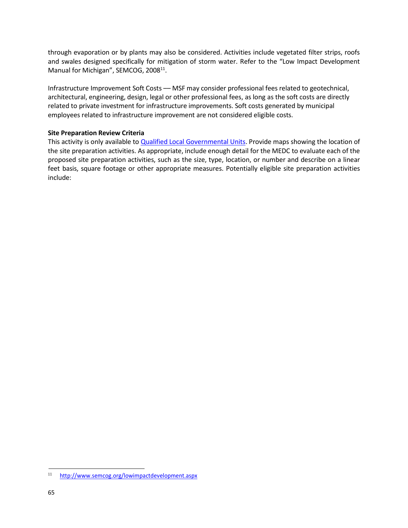through evaporation or by plants may also be considered. Activities include vegetated filter strips, roofs and swales designed specifically for mitigation of storm water. Refer to the "Low Impact Development Manual for Michigan", SEMCOG, 2008<sup>11</sup>.

Infrastructure Improvement Soft Costs –– MSF may consider professional fees related to geotechnical, architectural, engineering, design, legal or other professional fees, as long as the soft costs are directly related to private investment for infrastructure improvements. Soft costs generated by municipal employees related to infrastructure improvement are not considered eligible costs.

#### **Site Preparation Review Criteria**

This activity is only available to Qualified Local [Governmental](http://www.michiganbusiness.org/cm/files/Fact-Sheets/Core_communities.pdf) Units. Provide maps showing the location of the site preparation activities. As appropriate, include enough detail for the MEDC to evaluate each of the proposed site preparation activities, such as the size, type, location, or number and describe on a linear feet basis, square footage or other appropriate measures. Potentially eligible site preparation activities include:

<sup>&</sup>lt;sup>11</sup> <http://www.semcog.org/lowimpactdevelopment.aspx>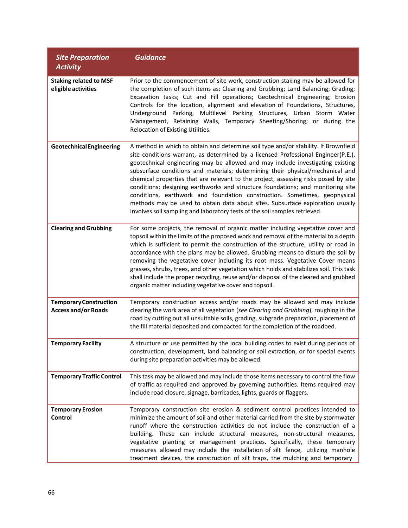| <b>Site Preparation</b>                                     | <b>Guidance</b>                                                                                                                                                                                                                                                                                                                                                                                                                                                                                                                                                                                                                                                                                                                                                     |
|-------------------------------------------------------------|---------------------------------------------------------------------------------------------------------------------------------------------------------------------------------------------------------------------------------------------------------------------------------------------------------------------------------------------------------------------------------------------------------------------------------------------------------------------------------------------------------------------------------------------------------------------------------------------------------------------------------------------------------------------------------------------------------------------------------------------------------------------|
| <b>Activity</b>                                             |                                                                                                                                                                                                                                                                                                                                                                                                                                                                                                                                                                                                                                                                                                                                                                     |
| <b>Staking related to MSF</b><br>eligible activities        | Prior to the commencement of site work, construction staking may be allowed for<br>the completion of such items as: Clearing and Grubbing; Land Balancing; Grading;<br>Excavation tasks; Cut and Fill operations; Geotechnical Engineering; Erosion<br>Controls for the location, alignment and elevation of Foundations, Structures,<br>Underground Parking, Multilevel Parking Structures, Urban Storm Water<br>Management, Retaining Walls, Temporary Sheeting/Shoring; or during the<br>Relocation of Existing Utilities.                                                                                                                                                                                                                                       |
| <b>Geotechnical Engineering</b>                             | A method in which to obtain and determine soil type and/or stability. If Brownfield<br>site conditions warrant, as determined by a licensed Professional Engineer(P.E.),<br>geotechnical engineering may be allowed and may include investigating existing<br>subsurface conditions and materials; determining their physical/mechanical and<br>chemical properties that are relevant to the project, assessing risks posed by site<br>conditions; designing earthworks and structure foundations; and monitoring site<br>conditions, earthwork and foundation construction. Sometimes, geophysical<br>methods may be used to obtain data about sites. Subsurface exploration usually<br>involves soil sampling and laboratory tests of the soil samples retrieved. |
| <b>Clearing and Grubbing</b>                                | For some projects, the removal of organic matter including vegetative cover and<br>topsoil within the limits of the proposed work and removal of the material to a depth<br>which is sufficient to permit the construction of the structure, utility or road in<br>accordance with the plans may be allowed. Grubbing means to disturb the soil by<br>removing the vegetative cover including its root mass. Vegetative Cover means<br>grasses, shrubs, trees, and other vegetation which holds and stabilizes soil. This task<br>shall include the proper recycling, reuse and/or disposal of the cleared and grubbed<br>organic matter including vegetative cover and topsoil.                                                                                    |
| <b>Temporary Construction</b><br><b>Access and/or Roads</b> | Temporary construction access and/or roads may be allowed and may include<br>clearing the work area of all vegetation (see Clearing and Grubbing), roughing in the<br>road by cutting out all unsuitable soils, grading, subgrade preparation, placement of<br>the fill material deposited and compacted for the completion of the roadbed.                                                                                                                                                                                                                                                                                                                                                                                                                         |
| <b>Temporary Facility</b>                                   | A structure or use permitted by the local building codes to exist during periods of<br>construction, development, land balancing or soil extraction, or for special events<br>during site preparation activities may be allowed.                                                                                                                                                                                                                                                                                                                                                                                                                                                                                                                                    |
| <b>Temporary Traffic Control</b>                            | This task may be allowed and may include those items necessary to control the flow<br>of traffic as required and approved by governing authorities. Items required may<br>include road closure, signage, barricades, lights, guards or flaggers.                                                                                                                                                                                                                                                                                                                                                                                                                                                                                                                    |
| <b>Temporary Erosion</b><br>Control                         | Temporary construction site erosion & sediment control practices intended to<br>minimize the amount of soil and other material carried from the site by stormwater<br>runoff where the construction activities do not include the construction of a<br>building. These can include structural measures, non-structural measures,<br>vegetative planting or management practices. Specifically, these temporary<br>measures allowed may include the installation of silt fence, utilizing manhole<br>treatment devices, the construction of silt traps, the mulching and temporary                                                                                                                                                                                   |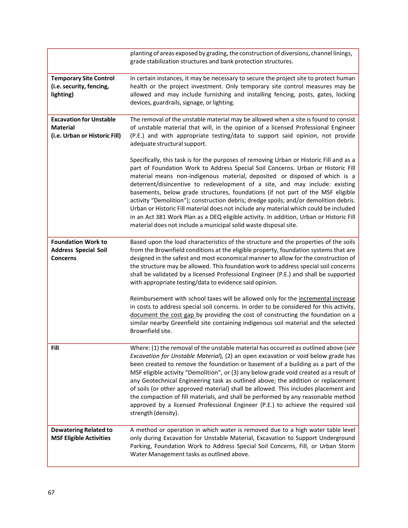|                                                                                    | planting of areas exposed by grading, the construction of diversions, channel linings,<br>grade stabilization structures and bank protection structures.                                                                                                                                                                                                                                                                                                                                                                                                                                                                                                                                                                                                                       |
|------------------------------------------------------------------------------------|--------------------------------------------------------------------------------------------------------------------------------------------------------------------------------------------------------------------------------------------------------------------------------------------------------------------------------------------------------------------------------------------------------------------------------------------------------------------------------------------------------------------------------------------------------------------------------------------------------------------------------------------------------------------------------------------------------------------------------------------------------------------------------|
| <b>Temporary Site Control</b><br>(i.e. security, fencing,<br>lighting)             | In certain instances, it may be necessary to secure the project site to protect human<br>health or the project investment. Only temporary site control measures may be<br>allowed and may include furnishing and installing fencing, posts, gates, locking<br>devices, guardrails, signage, or lighting.                                                                                                                                                                                                                                                                                                                                                                                                                                                                       |
| <b>Excavation for Unstable</b><br><b>Material</b><br>(i.e. Urban or Historic Fill) | The removal of the unstable material may be allowed when a site is found to consist<br>of unstable material that will, in the opinion of a licensed Professional Engineer<br>(P.E.) and with appropriate testing/data to support said opinion, not provide<br>adequate structural support.                                                                                                                                                                                                                                                                                                                                                                                                                                                                                     |
|                                                                                    | Specifically, this task is for the purposes of removing Urban or Historic Fill and as a<br>part of Foundation Work to Address Special Soil Concerns. Urban or Historic Fill<br>material means non-indigenous material, deposited or disposed of which is a<br>deterrent/disincentive to redevelopment of a site, and may include: existing<br>basements, below grade structures, foundations (if not part of the MSF eligible<br>activity "Demolition"); construction debris; dredge spoils; and/or demolition debris.<br>Urban or Historic Fill material does not include any material which could be included<br>in an Act 381 Work Plan as a DEQ eligible activity. In addition, Urban or Historic Fill<br>material does not include a municipal solid waste disposal site. |
| <b>Foundation Work to</b><br><b>Address Special Soil</b><br><b>Concerns</b>        | Based upon the load characteristics of the structure and the properties of the soils<br>from the Brownfield conditions at the eligible property, foundation systems that are<br>designed in the safest and most economical manner to allow for the construction of<br>the structure may be allowed. This foundation work to address special soil concerns<br>shall be validated by a licensed Professional Engineer (P.E.) and shall be supported<br>with appropriate testing/data to evidence said opinion.                                                                                                                                                                                                                                                                   |
|                                                                                    | Reimbursement with school taxes will be allowed only for the incremental increase<br>in costs to address special soil concerns. In order to be considered for this activity,<br>document the cost gap by providing the cost of constructing the foundation on a<br>similar nearby Greenfield site containing indigenous soil material and the selected<br>Brownfield site.                                                                                                                                                                                                                                                                                                                                                                                                     |
| Fill                                                                               | Where: (1) the removal of the unstable material has occurred as outlined above (see<br>Excavation for Unstable Material), (2) an open excavation or void below grade has<br>been created to remove the foundation or basement of a building as a part of the<br>MSF eligible activity "Demolition", or (3) any below grade void created as a result of<br>any Geotechnical Engineering task as outlined above; the addition or replacement<br>of soils (or other approved material) shall be allowed. This includes placement and<br>the compaction of fill materials, and shall be performed by any reasonable method<br>approved by a licensed Professional Engineer (P.E.) to achieve the required soil<br>strength (density).                                              |
| <b>Dewatering Related to</b><br><b>MSF Eligible Activities</b>                     | A method or operation in which water is removed due to a high water table level<br>only during Excavation for Unstable Material, Excavation to Support Underground<br>Parking, Foundation Work to Address Special Soil Concerns, Fill, or Urban Storm<br>Water Management tasks as outlined above.                                                                                                                                                                                                                                                                                                                                                                                                                                                                             |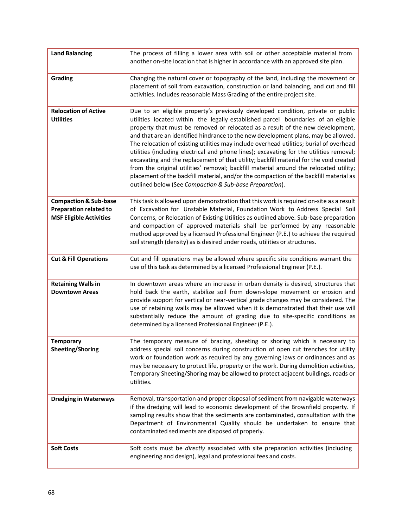| <b>Land Balancing</b>                                                                               | The process of filling a lower area with soil or other acceptable material from<br>another on-site location that is higher in accordance with an approved site plan.                                                                                                                                                                                                                                                                                                                                                                                                                                                                                                                                                                                                                                                                                                      |
|-----------------------------------------------------------------------------------------------------|---------------------------------------------------------------------------------------------------------------------------------------------------------------------------------------------------------------------------------------------------------------------------------------------------------------------------------------------------------------------------------------------------------------------------------------------------------------------------------------------------------------------------------------------------------------------------------------------------------------------------------------------------------------------------------------------------------------------------------------------------------------------------------------------------------------------------------------------------------------------------|
| Grading                                                                                             | Changing the natural cover or topography of the land, including the movement or<br>placement of soil from excavation, construction or land balancing, and cut and fill<br>activities. Includes reasonable Mass Grading of the entire project site.                                                                                                                                                                                                                                                                                                                                                                                                                                                                                                                                                                                                                        |
| <b>Relocation of Active</b><br><b>Utilities</b>                                                     | Due to an eligible property's previously developed condition, private or public<br>utilities located within the legally established parcel boundaries of an eligible<br>property that must be removed or relocated as a result of the new development,<br>and that are an identified hindrance to the new development plans, may be allowed.<br>The relocation of existing utilities may include overhead utilities; burial of overhead<br>utilities (including electrical and phone lines); excavating for the utilities removal;<br>excavating and the replacement of that utility; backfill material for the void created<br>from the original utilities' removal; backfill material around the relocated utility;<br>placement of the backfill material, and/or the compaction of the backfill material as<br>outlined below (See Compaction & Sub-base Preparation). |
| <b>Compaction &amp; Sub-base</b><br><b>Preparation related to</b><br><b>MSF Eligible Activities</b> | This task is allowed upon demonstration that this work is required on-site as a result<br>of Excavation for Unstable Material, Foundation Work to Address Special Soil<br>Concerns, or Relocation of Existing Utilities as outlined above. Sub-base preparation<br>and compaction of approved materials shall be performed by any reasonable<br>method approved by a licensed Professional Engineer (P.E.) to achieve the required<br>soil strength (density) as is desired under roads, utilities or structures.                                                                                                                                                                                                                                                                                                                                                         |
| <b>Cut &amp; Fill Operations</b>                                                                    | Cut and fill operations may be allowed where specific site conditions warrant the<br>use of this task as determined by a licensed Professional Engineer (P.E.).                                                                                                                                                                                                                                                                                                                                                                                                                                                                                                                                                                                                                                                                                                           |
| <b>Retaining Walls in</b><br><b>Downtown Areas</b>                                                  | In downtown areas where an increase in urban density is desired, structures that<br>hold back the earth, stabilize soil from down-slope movement or erosion and<br>provide support for vertical or near-vertical grade changes may be considered. The<br>use of retaining walls may be allowed when it is demonstrated that their use will<br>substantially reduce the amount of grading due to site-specific conditions as<br>determined by a licensed Professional Engineer (P.E.).                                                                                                                                                                                                                                                                                                                                                                                     |
| <b>Temporary</b><br><b>Sheeting/Shoring</b>                                                         | The temporary measure of bracing, sheeting or shoring which is necessary to<br>address special soil concerns during construction of open cut trenches for utility<br>work or foundation work as required by any governing laws or ordinances and as<br>may be necessary to protect life, property or the work. During demolition activities,<br>Temporary Sheeting/Shoring may be allowed to protect adjacent buildings, roads or<br>utilities.                                                                                                                                                                                                                                                                                                                                                                                                                           |
| <b>Dredging in Waterways</b>                                                                        | Removal, transportation and proper disposal of sediment from navigable waterways<br>if the dredging will lead to economic development of the Brownfield property. If<br>sampling results show that the sediments are contaminated, consultation with the<br>Department of Environmental Quality should be undertaken to ensure that<br>contaminated sediments are disposed of properly.                                                                                                                                                                                                                                                                                                                                                                                                                                                                                   |
| <b>Soft Costs</b>                                                                                   | Soft costs must be directly associated with site preparation activities (including<br>engineering and design), legal and professional fees and costs.                                                                                                                                                                                                                                                                                                                                                                                                                                                                                                                                                                                                                                                                                                                     |